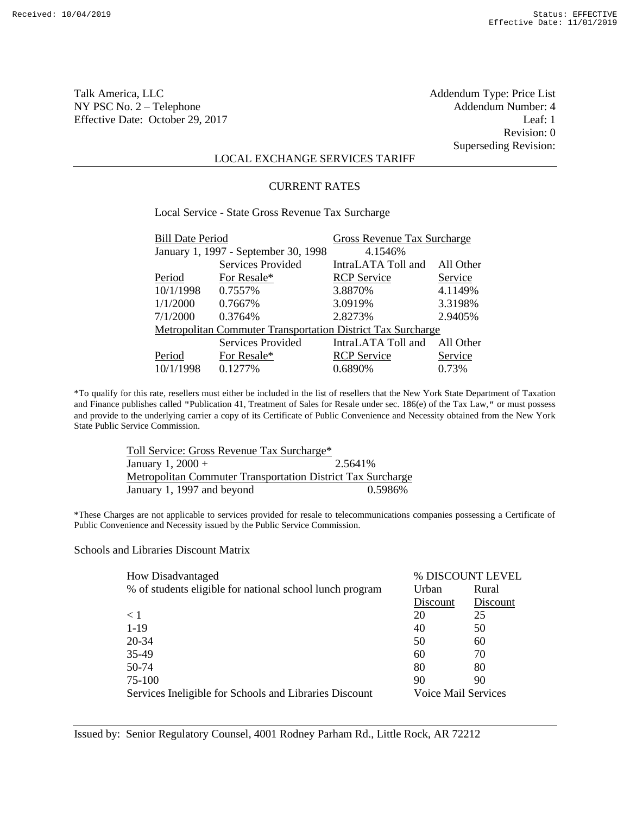Revision: 0 Superseding Revision:

# LOCAL EXCHANGE SERVICES TARIFF

#### CURRENT RATES

Local Service - State Gross Revenue Tax Surcharge Bill Date Period Gross Revenue Tax Surcharge

| $P_{\rm HII}$ Date I chou                                   |                                      | $O1000$ Revenue Tux buildings |           |
|-------------------------------------------------------------|--------------------------------------|-------------------------------|-----------|
|                                                             | January 1, 1997 - September 30, 1998 | 4.1546\%                      |           |
|                                                             | <b>Services Provided</b>             | IntraLATA Toll and            | All Other |
| Period                                                      | For Resale*                          | <b>RCP</b> Service            | Service   |
| 10/1/1998                                                   | 0.7557%                              | 3.8870%                       | 4.1149%   |
| 1/1/2000                                                    | 0.7667%                              | 3.0919%                       | 3.3198%   |
| 7/1/2000                                                    | 0.3764%                              | 2.8273%                       | 2.9405%   |
| Metropolitan Commuter Transportation District Tax Surcharge |                                      |                               |           |
|                                                             | Services Provided                    | IntraLATA Toll and            | All Other |
| Period                                                      | For Resale*                          | <b>RCP</b> Service            | Service   |
| 10/1/1998                                                   | 0.1277%                              | 0.6890%                       | 0.73%     |

\*To qualify for this rate, resellers must either be included in the list of resellers that the New York State Department of Taxation and Finance publishes called "Publication 41, Treatment of Sales for Resale under sec. 186(e) of the Tax Law," or must possess and provide to the underlying carrier a copy of its Certificate of Public Convenience and Necessity obtained from the New York State Public Service Commission.

| Toll Service: Gross Revenue Tax Surcharge*                         |         |
|--------------------------------------------------------------------|---------|
| January 1, 2000 +                                                  | 2.5641% |
| <b>Metropolitan Commuter Transportation District Tax Surcharge</b> |         |
| January 1, 1997 and beyond                                         | 0.5986% |

\*These Charges are not applicable to services provided for resale to telecommunications companies possessing a Certificate of Public Convenience and Necessity issued by the Public Service Commission.

Schools and Libraries Discount Matrix

| How Disadvantaged                                        | % DISCOUNT LEVEL    |          |
|----------------------------------------------------------|---------------------|----------|
| % of students eligible for national school lunch program | Urban               | Rural    |
|                                                          | Discount            | Discount |
| $\leq 1$                                                 | 20                  | 25       |
| $1 - 19$                                                 | 40                  | 50       |
| 20-34                                                    | 50                  | 60       |
| 35-49                                                    | 60                  | 70       |
| 50-74                                                    | 80                  | 80       |
| 75-100                                                   | 90                  | 90       |
| Services Ineligible for Schools and Libraries Discount   | Voice Mail Services |          |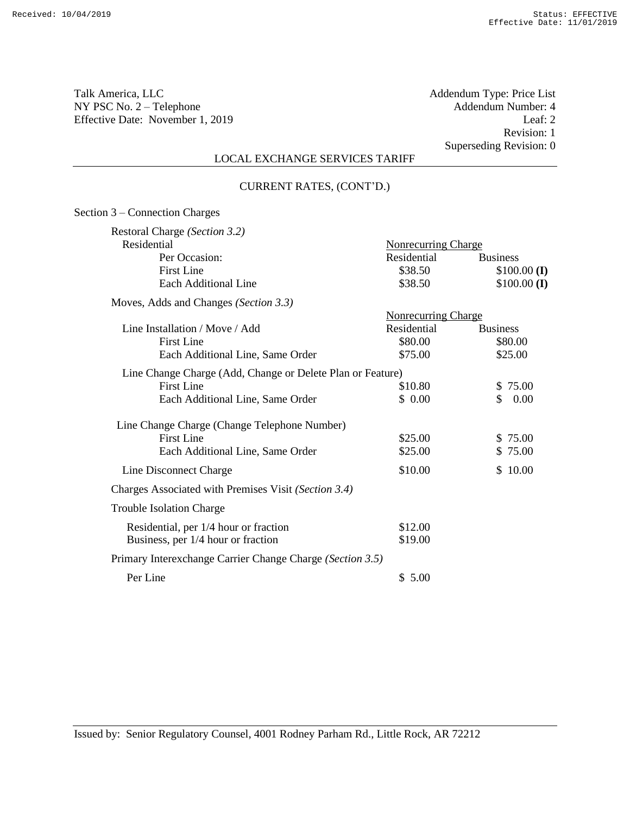Talk America, LLC Addendum Type: Price List NY PSC No. 2 – Telephone Addendum Number: 4<br>Effective Date: November 1, 2019 Leaf: 2 Effective Date: November 1, 2019

Revision: 1 Superseding Revision: 0

# LOCAL EXCHANGE SERVICES TARIFF

#### CURRENT RATES, (CONT'D.)

| Section 3 – Connection Charges                             |                            |                      |
|------------------------------------------------------------|----------------------------|----------------------|
| Restoral Charge (Section 3.2)<br>Residential               | <b>Nonrecurring Charge</b> |                      |
| Per Occasion:                                              | Residential                | <b>Business</b>      |
| <b>First Line</b>                                          | \$38.50                    | $$100.00$ (I)        |
| Each Additional Line                                       | \$38.50                    | $$100.00$ (I)        |
| Moves, Adds and Changes (Section 3.3)                      |                            |                      |
|                                                            | <b>Nonrecurring Charge</b> |                      |
| Line Installation / Move / Add                             | Residential                | <b>Business</b>      |
| <b>First Line</b>                                          | \$80.00                    | \$80.00              |
| Each Additional Line, Same Order                           | \$75.00                    | \$25.00              |
| Line Change Charge (Add, Change or Delete Plan or Feature) |                            |                      |
| <b>First Line</b>                                          | \$10.80                    | \$75.00              |
| Each Additional Line, Same Order                           | \$0.00                     | $\mathbb{S}$<br>0.00 |
| Line Change Charge (Change Telephone Number)               |                            |                      |
| <b>First Line</b>                                          | \$25.00                    | \$75.00              |
| Each Additional Line, Same Order                           | \$25.00                    | \$75.00              |
| Line Disconnect Charge                                     | \$10.00                    | \$10.00              |
| Charges Associated with Premises Visit (Section 3.4)       |                            |                      |
| <b>Trouble Isolation Charge</b>                            |                            |                      |
| Residential, per 1/4 hour or fraction                      | \$12.00                    |                      |
| Business, per 1/4 hour or fraction                         | \$19.00                    |                      |
| Primary Interexchange Carrier Change Charge (Section 3.5)  |                            |                      |
| Per Line                                                   | \$5.00                     |                      |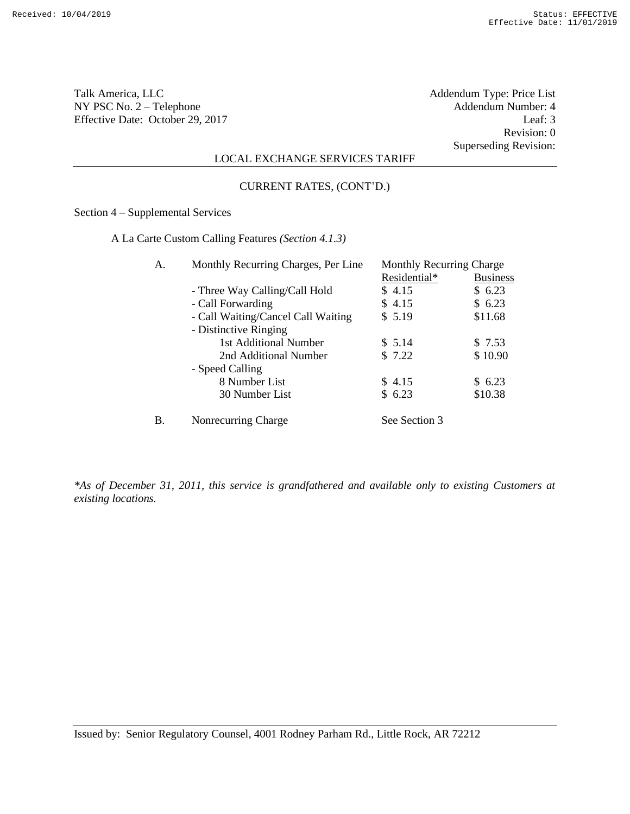Talk America, LLC Addendum Type: Price List NY PSC No. 2 – Telephone Addendum Number: 4<br>Effective Date: October 29, 2017 Leaf: 3 Effective Date: October 29, 2017

Revision: 0 Superseding Revision:

## LOCAL EXCHANGE SERVICES TARIFF

#### CURRENT RATES, (CONT'D.)

Section 4 – Supplemental Services

A La Carte Custom Calling Features *(Section 4.1.3)*

| А. | Monthly Recurring Charges, Per Line | <b>Monthly Recurring Charge</b> |                 |
|----|-------------------------------------|---------------------------------|-----------------|
|    |                                     | Residential*                    | <b>Business</b> |
|    | - Three Way Calling/Call Hold       | \$4.15                          | \$6.23          |
|    | - Call Forwarding                   | \$4.15                          | \$6.23          |
|    | - Call Waiting/Cancel Call Waiting  | \$5.19                          | \$11.68         |
|    | - Distinctive Ringing               |                                 |                 |
|    | 1st Additional Number               | \$5.14                          | \$7.53          |
|    | 2nd Additional Number               | \$7.22                          | \$10.90         |
|    | - Speed Calling                     |                                 |                 |
|    | 8 Number List                       | \$4.15                          | \$6.23          |
|    | 30 Number List                      | \$6.23                          | \$10.38         |
| Β. | Nonrecurring Charge                 | See Section 3                   |                 |

*\*As of December 31, 2011, this service is grandfathered and available only to existing Customers at existing locations.*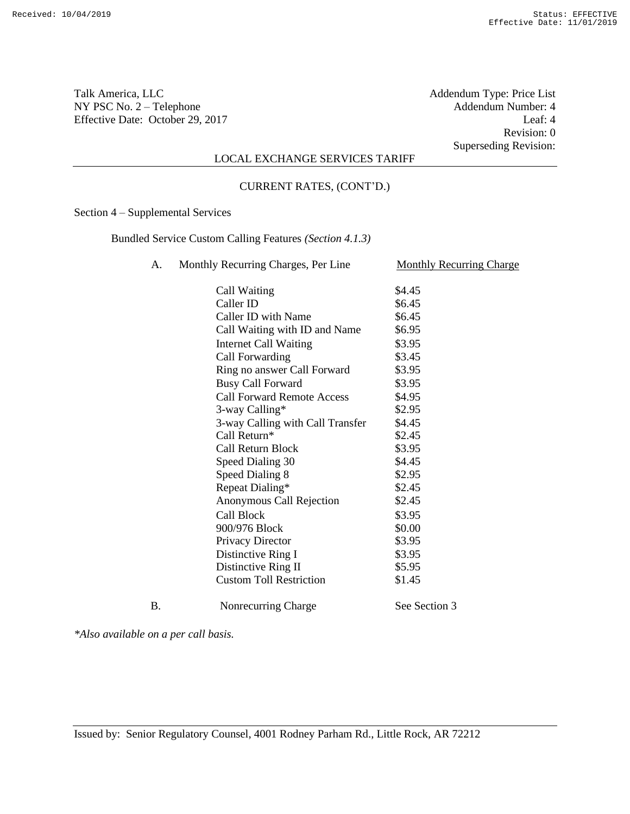Talk America, LLC Addendum Type: Price List NY PSC No. 2 – Telephone Addendum Number: 4<br>Effective Date: October 29, 2017 Leaf: 4 Effective Date: October 29, 2017

Revision: 0 Superseding Revision:

## LOCAL EXCHANGE SERVICES TARIFF

#### CURRENT RATES, (CONT'D.)

Section 4 – Supplemental Services

Bundled Service Custom Calling Features *(Section 4.1.3)*

A. Monthly Recurring Charges, Per Line Monthly Recurring Charge

|            | Call Waiting                      | \$4.45        |
|------------|-----------------------------------|---------------|
|            | Caller ID                         | \$6.45        |
|            | Caller ID with Name               | \$6.45        |
|            | Call Waiting with ID and Name     | \$6.95        |
|            | <b>Internet Call Waiting</b>      | \$3.95        |
|            | Call Forwarding                   | \$3.45        |
|            | Ring no answer Call Forward       | \$3.95        |
|            | <b>Busy Call Forward</b>          | \$3.95        |
|            | <b>Call Forward Remote Access</b> | \$4.95        |
|            | 3-way Calling*                    | \$2.95        |
|            | 3-way Calling with Call Transfer  | \$4.45        |
|            | Call Return*                      | \$2.45        |
|            | Call Return Block                 | \$3.95        |
|            | Speed Dialing 30                  | \$4.45        |
|            | <b>Speed Dialing 8</b>            | \$2.95        |
|            | Repeat Dialing*                   | \$2.45        |
|            | Anonymous Call Rejection          | \$2.45        |
|            | <b>Call Block</b>                 | \$3.95        |
|            | 900/976 Block                     | \$0.00        |
|            | Privacy Director                  | \$3.95        |
|            | Distinctive Ring I                | \$3.95        |
|            | Distinctive Ring II               | \$5.95        |
|            | <b>Custom Toll Restriction</b>    | \$1.45        |
| $\bf{B}$ . | Nonrecurring Charge               | See Section 3 |

*\*Also available on a per call basis.*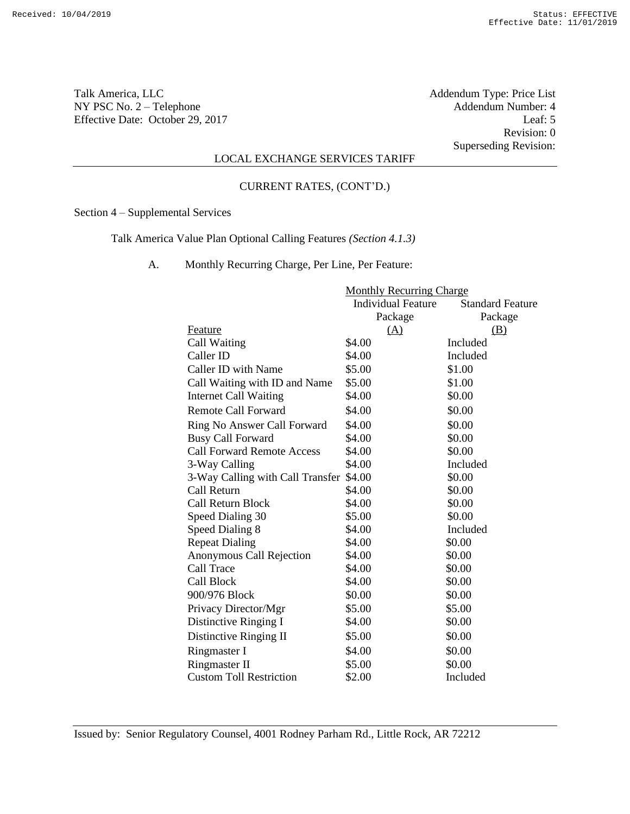Talk America, LLC Addendum Type: Price List NY PSC No. 2 – Telephone Addendum Number: 4<br>Effective Date: October 29, 2017 Leaf: 5 Effective Date: October 29, 2017

Revision: 0 Superseding Revision:

# LOCAL EXCHANGE SERVICES TARIFF

#### CURRENT RATES, (CONT'D.)

Section 4 – Supplemental Services

Talk America Value Plan Optional Calling Features *(Section 4.1.3)*

A. Monthly Recurring Charge, Per Line, Per Feature:

|                                   | <b>Monthly Recurring Charge</b> |                         |
|-----------------------------------|---------------------------------|-------------------------|
|                                   | <b>Individual Feature</b>       | <b>Standard Feature</b> |
|                                   | Package                         | Package                 |
| Feature                           | (A)                             | (B)                     |
| Call Waiting                      | \$4.00                          | Included                |
| Caller ID                         | \$4.00                          | Included                |
| Caller ID with Name               | \$5.00                          | \$1.00                  |
| Call Waiting with ID and Name     | \$5.00                          | \$1.00                  |
| Internet Call Waiting             | \$4.00                          | \$0.00                  |
| Remote Call Forward               | \$4.00                          | \$0.00                  |
| Ring No Answer Call Forward       | \$4.00                          | \$0.00                  |
| <b>Busy Call Forward</b>          | \$4.00                          | \$0.00                  |
| <b>Call Forward Remote Access</b> | \$4.00                          | \$0.00                  |
| 3-Way Calling                     | \$4.00                          | Included                |
| 3-Way Calling with Call Transfer  | \$4.00                          | \$0.00                  |
| Call Return                       | \$4.00                          | \$0.00                  |
| Call Return Block                 | \$4.00                          | \$0.00                  |
| Speed Dialing 30                  | \$5.00                          | \$0.00                  |
| Speed Dialing 8                   | \$4.00                          | Included                |
| <b>Repeat Dialing</b>             | \$4.00                          | \$0.00                  |
| Anonymous Call Rejection          | \$4.00                          | \$0.00                  |
| Call Trace                        | \$4.00                          | \$0.00                  |
| Call Block                        | \$4.00                          | \$0.00                  |
| 900/976 Block                     | \$0.00                          | \$0.00                  |
| Privacy Director/Mgr              | \$5.00                          | \$5.00                  |
| Distinctive Ringing I             | \$4.00                          | \$0.00                  |
| Distinctive Ringing II            | \$5.00                          | \$0.00                  |
| Ringmaster I                      | \$4.00                          | \$0.00                  |
| <b>Ringmaster II</b>              | \$5.00                          | \$0.00                  |
| <b>Custom Toll Restriction</b>    | \$2.00                          | Included                |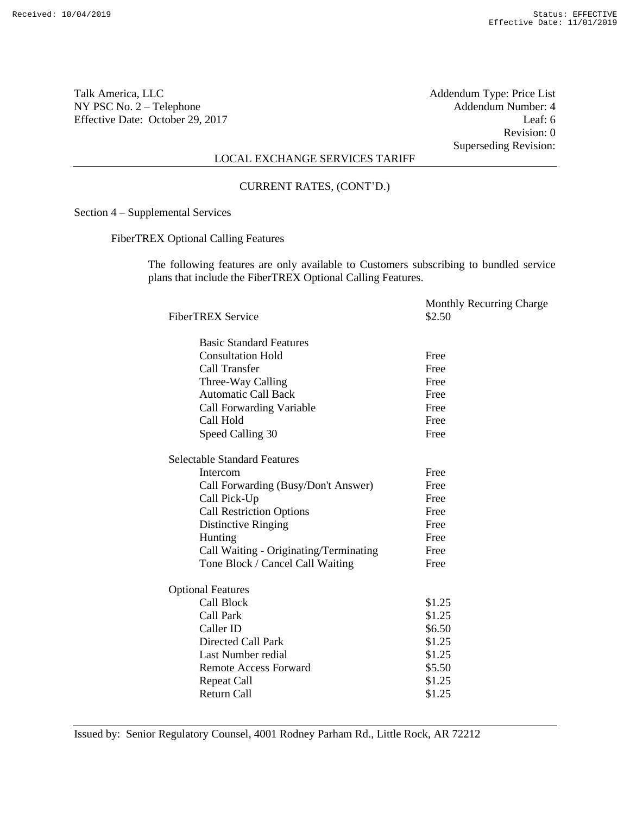Revision: 0 Superseding Revision:

# LOCAL EXCHANGE SERVICES TARIFF

CURRENT RATES, (CONT'D.)

Section 4 – Supplemental Services

FiberTREX Optional Calling Features

The following features are only available to Customers subscribing to bundled service plans that include the FiberTREX Optional Calling Features.

| <b>FiberTREX Service</b>               | <b>Monthly Recurring Charge</b><br>\$2.50 |
|----------------------------------------|-------------------------------------------|
| <b>Basic Standard Features</b>         |                                           |
| <b>Consultation Hold</b>               | Free                                      |
| <b>Call Transfer</b>                   | Free                                      |
| Three-Way Calling                      | Free                                      |
| <b>Automatic Call Back</b>             | Free                                      |
| <b>Call Forwarding Variable</b>        | Free                                      |
| Call Hold                              | Free                                      |
| Speed Calling 30                       | Free                                      |
| <b>Selectable Standard Features</b>    |                                           |
| Intercom                               | Free                                      |
| Call Forwarding (Busy/Don't Answer)    | Free                                      |
| Call Pick-Up                           | Free                                      |
| <b>Call Restriction Options</b>        | Free                                      |
| Distinctive Ringing                    | Free                                      |
| Hunting                                | Free                                      |
| Call Waiting - Originating/Terminating | Free                                      |
| Tone Block / Cancel Call Waiting       | Free                                      |
| <b>Optional Features</b>               |                                           |
| <b>Call Block</b>                      | \$1.25                                    |
| Call Park                              | \$1.25                                    |
| Caller ID                              | \$6.50                                    |
| Directed Call Park                     | \$1.25                                    |
| Last Number redial                     | \$1.25                                    |
| <b>Remote Access Forward</b>           | \$5.50                                    |
| <b>Repeat Call</b>                     | \$1.25                                    |
| <b>Return Call</b>                     | \$1.25                                    |
|                                        |                                           |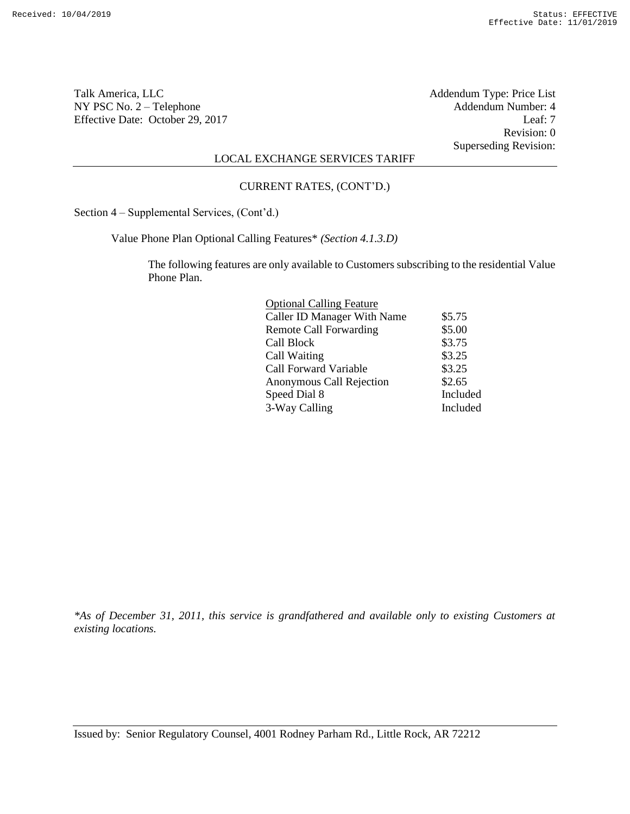Talk America, LLC Addendum Type: Price List NY PSC No. 2 – Telephone Addendum Number: 4<br>Effective Date: October 29, 2017 Leaf: 7 Effective Date: October 29, 2017

Revision: 0 Superseding Revision:

# LOCAL EXCHANGE SERVICES TARIFF

#### CURRENT RATES, (CONT'D.)

Section 4 – Supplemental Services, (Cont'd.)

Value Phone Plan Optional Calling Features\* *(Section 4.1.3.D)*

The following features are only available to Customers subscribing to the residential Value Phone Plan.

| <b>Optional Calling Feature</b>    |          |
|------------------------------------|----------|
| <b>Caller ID Manager With Name</b> | \$5.75   |
| <b>Remote Call Forwarding</b>      | \$5.00   |
| Call Block                         | \$3.75   |
| Call Waiting                       | \$3.25   |
| <b>Call Forward Variable</b>       | \$3.25   |
| Anonymous Call Rejection           | \$2.65   |
| Speed Dial 8                       | Included |
| 3-Way Calling                      | Included |
|                                    |          |

*\*As of December 31, 2011, this service is grandfathered and available only to existing Customers at existing locations.*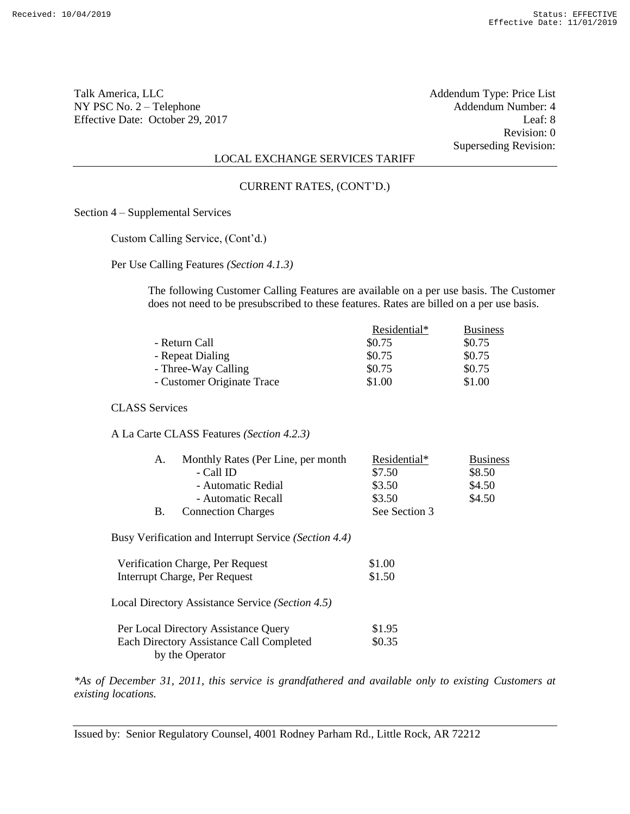Revision: 0 Superseding Revision:

## LOCAL EXCHANGE SERVICES TARIFF

#### CURRENT RATES, (CONT'D.)

Section 4 – Supplemental Services

Custom Calling Service, (Cont'd.)

Per Use Calling Features *(Section 4.1.3)*

The following Customer Calling Features are available on a per use basis. The Customer does not need to be presubscribed to these features. Rates are billed on a per use basis.

|                            | Residential* | <b>Business</b> |
|----------------------------|--------------|-----------------|
| - Return Call              | \$0.75       | \$0.75          |
| - Repeat Dialing           | \$0.75       | \$0.75          |
| - Three-Way Calling        | \$0.75       | \$0.75          |
| - Customer Originate Trace | \$1.00       | \$1.00          |

CLASS Services

A La Carte CLASS Features *(Section 4.2.3)*

|    | Monthly Rates (Per Line, per month | Residential*  | <b>Business</b> |
|----|------------------------------------|---------------|-----------------|
|    | - Call ID                          | \$7.50        | \$8.50          |
|    | - Automatic Redial                 | \$3.50        | \$4.50          |
|    | - Automatic Recall                 | \$3.50        | \$4.50          |
| В. | <b>Connection Charges</b>          | See Section 3 |                 |

Busy Verification and Interrupt Service *(Section 4.4)*

| Verification Charge, Per Request<br>Interrupt Charge, Per Request                                   | \$1.00<br>\$1.50 |
|-----------------------------------------------------------------------------------------------------|------------------|
| Local Directory Assistance Service (Section 4.5)                                                    |                  |
| Per Local Directory Assistance Query<br>Each Directory Assistance Call Completed<br>by the Operator | \$1.95<br>\$0.35 |

*\*As of December 31, 2011, this service is grandfathered and available only to existing Customers at existing locations.*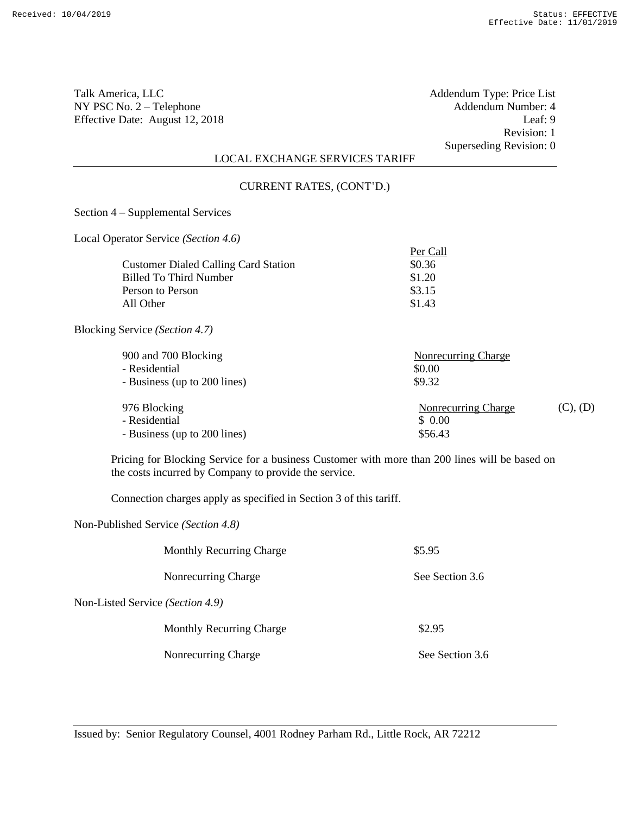Talk America, LLC Addendum Type: Price List NY PSC No. 2 – Telephone Addendum Number: 4<br>Effective Date: August 12, 2018 Leaf: 9 Effective Date: August 12, 2018

Revision: 1 Superseding Revision: 0

Per Call

# LOCAL EXCHANGE SERVICES TARIFF

#### CURRENT RATES, (CONT'D.)

Section 4 – Supplemental Services

Local Operator Service *(Section 4.6)*

| <b>Customer Dialed Calling Card Station</b> | \$0.36 |
|---------------------------------------------|--------|
| Billed To Third Number                      | \$1.20 |
| Person to Person                            | \$3.15 |
| All Other                                   | \$1.43 |
|                                             |        |

Blocking Service *(Section 4.7)*

| 900 and 700 Blocking<br>- Residential<br>- Business (up to 200 lines) | Nonrecurring Charge<br>\$0.00<br>\$9.32  |          |
|-----------------------------------------------------------------------|------------------------------------------|----------|
| 976 Blocking<br>- Residential<br>- Business (up to 200 lines)         | Nonrecurring Charge<br>\$0.00<br>\$56.43 | (C), (D) |

Pricing for Blocking Service for a business Customer with more than 200 lines will be based on the costs incurred by Company to provide the service.

Connection charges apply as specified in Section 3 of this tariff.

Non-Published Service *(Section 4.8)*

|                                  | <b>Monthly Recurring Charge</b> | \$5.95          |
|----------------------------------|---------------------------------|-----------------|
|                                  | Nonrecurring Charge             | See Section 3.6 |
| Non-Listed Service (Section 4.9) |                                 |                 |
|                                  | <b>Monthly Recurring Charge</b> | \$2.95          |
|                                  | Nonrecurring Charge             | See Section 3.6 |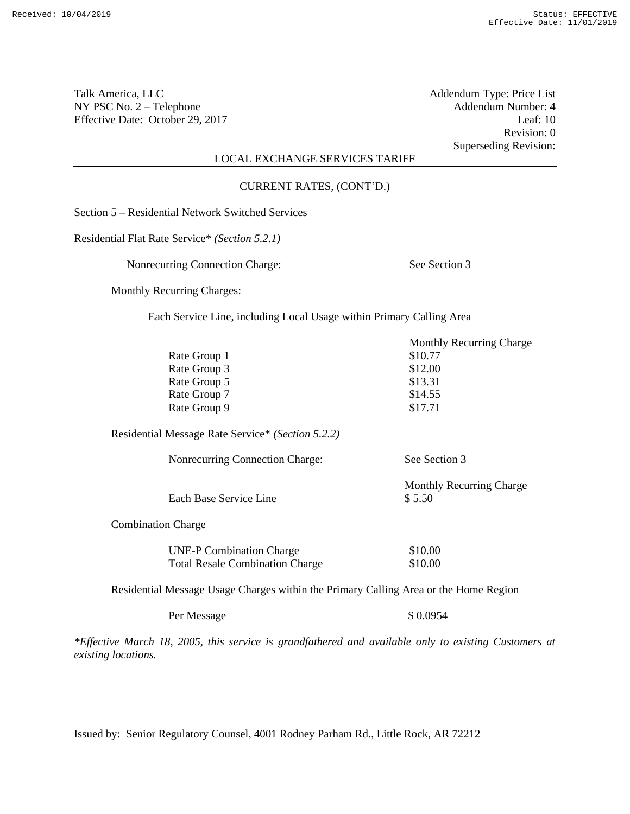Revision: 0 Superseding Revision:

# LOCAL EXCHANGE SERVICES TARIFF

CURRENT RATES, (CONT'D.)

Section 5 – Residential Network Switched Services

Residential Flat Rate Service\* *(Section 5.2.1)*

Nonrecurring Connection Charge: See Section 3

Monthly Recurring Charges:

Each Service Line, including Local Usage within Primary Calling Area

|                           |                                                                           | <b>Monthly Recurring Charge</b>           |
|---------------------------|---------------------------------------------------------------------------|-------------------------------------------|
|                           | Rate Group 1                                                              | \$10.77                                   |
|                           | Rate Group 3                                                              | \$12.00                                   |
|                           | Rate Group 5                                                              | \$13.31                                   |
|                           | Rate Group 7                                                              | \$14.55                                   |
|                           | Rate Group 9                                                              | \$17.71                                   |
|                           | Residential Message Rate Service* (Section 5.2.2)                         |                                           |
|                           | Nonrecurring Connection Charge:                                           | See Section 3                             |
|                           | Each Base Service Line                                                    | <b>Monthly Recurring Charge</b><br>\$5.50 |
| <b>Combination Charge</b> |                                                                           |                                           |
|                           | <b>UNE-P Combination Charge</b><br><b>Total Resale Combination Charge</b> | \$10.00<br>\$10.00                        |
|                           |                                                                           |                                           |

Residential Message Usage Charges within the Primary Calling Area or the Home Region

Per Message  $\$$  0.0954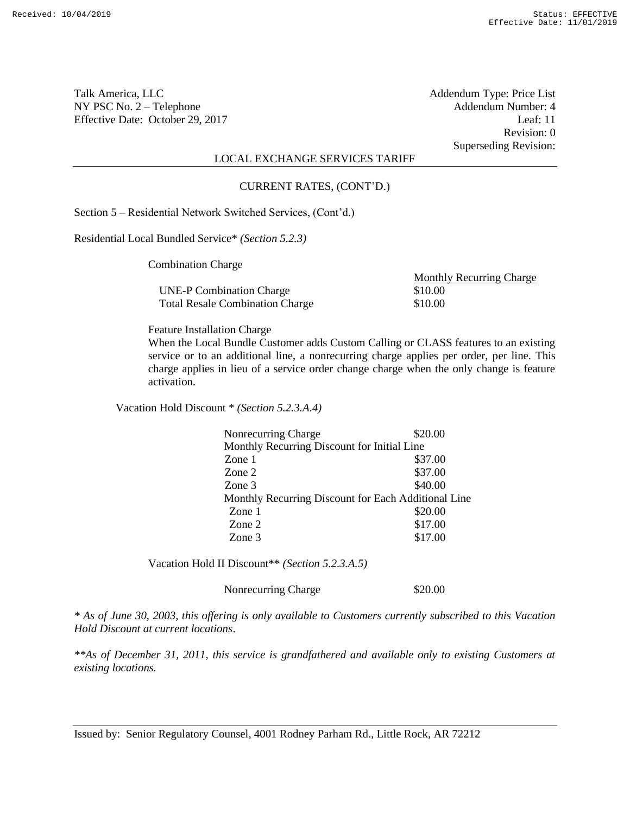Revision: 0 Superseding Revision:

## LOCAL EXCHANGE SERVICES TARIFF

#### CURRENT RATES, (CONT'D.)

Section 5 – Residential Network Switched Services, (Cont'd.)

Residential Local Bundled Service\* *(Section 5.2.3)*

Combination Charge

UNE-P Combination Charge \$10.00 Total Resale Combination Charge \$10.00

Monthly Recurring Charge

Feature Installation Charge

When the Local Bundle Customer adds Custom Calling or CLASS features to an existing service or to an additional line, a nonrecurring charge applies per order, per line. This charge applies in lieu of a service order change charge when the only change is feature activation.

Vacation Hold Discount \* *(Section 5.2.3.A.4)*

| Nonrecurring Charge                                 | \$20.00 |
|-----------------------------------------------------|---------|
| Monthly Recurring Discount for Initial Line         |         |
| Zone 1                                              | \$37.00 |
| Zone 2                                              | \$37.00 |
| Zone 3                                              | \$40.00 |
| Monthly Recurring Discount for Each Additional Line |         |
| Zone 1                                              | \$20.00 |
| Zone 2                                              | \$17.00 |
| Zone 3                                              | \$17.00 |

Vacation Hold II Discount\*\* *(Section 5.2.3.A.5)*

Nonrecurring Charge \$20.00

*\* As of June 30, 2003, this offering is only available to Customers currently subscribed to this Vacation Hold Discount at current locations*.

*\*\*As of December 31, 2011, this service is grandfathered and available only to existing Customers at existing locations.*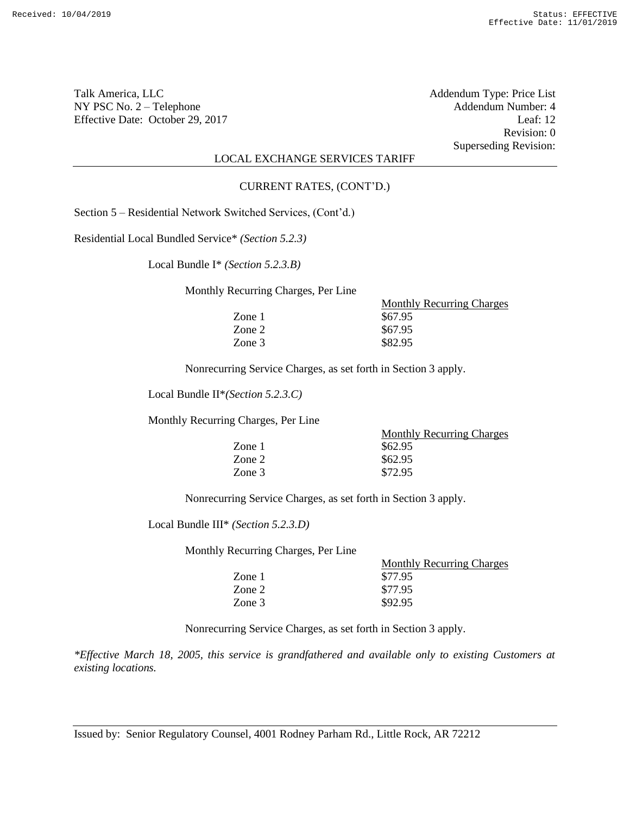Revision: 0 Superseding Revision:

## LOCAL EXCHANGE SERVICES TARIFF

#### CURRENT RATES, (CONT'D.)

Section 5 – Residential Network Switched Services, (Cont'd.)

Residential Local Bundled Service\* *(Section 5.2.3)*

Local Bundle I\* *(Section 5.2.3.B)*

Monthly Recurring Charges, Per Line

|        | <b>Monthly Recurring Charges</b> |
|--------|----------------------------------|
| Zone 1 | \$67.95                          |
| Zone 2 | \$67.95                          |
| Zone 3 | \$82.95                          |

Nonrecurring Service Charges, as set forth in Section 3 apply.

Local Bundle II\**(Section 5.2.3.C)*

Monthly Recurring Charges, Per Line

|        | <b>Monthly Recurring Charges</b> |
|--------|----------------------------------|
| Zone 1 | \$62.95                          |
| Zone 2 | \$62.95                          |
| Zone 3 | \$72.95                          |

Nonrecurring Service Charges, as set forth in Section 3 apply.

Local Bundle III\* *(Section 5.2.3.D)*

Monthly Recurring Charges, Per Line

| $T_{\rm t}$ and $T_{\rm t}$ and $T_{\rm t}$ and $T_{\rm t}$ and $T_{\rm t}$ and $T_{\rm t}$ are $T_{\rm t}$ and $T_{\rm t}$ |                                  |
|-----------------------------------------------------------------------------------------------------------------------------|----------------------------------|
|                                                                                                                             | <b>Monthly Recurring Charges</b> |
| Zone 1                                                                                                                      | \$77.95                          |
| Zone 2                                                                                                                      | \$77.95                          |
| Zone 3                                                                                                                      | \$92.95                          |
|                                                                                                                             |                                  |

Nonrecurring Service Charges, as set forth in Section 3 apply.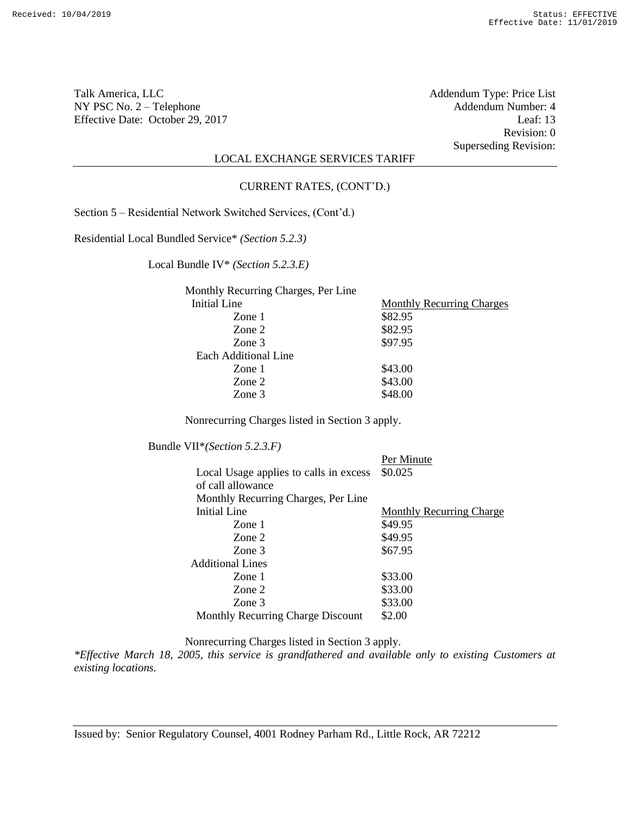Revision: 0 Superseding Revision:

# LOCAL EXCHANGE SERVICES TARIFF

#### CURRENT RATES, (CONT'D.)

Section 5 – Residential Network Switched Services, (Cont'd.)

Residential Local Bundled Service\* *(Section 5.2.3)*

Local Bundle IV\* *(Section 5.2.3.E)*

| Monthly Recurring Charges, Per Line |                                  |
|-------------------------------------|----------------------------------|
| Initial Line                        | <b>Monthly Recurring Charges</b> |
| Zone 1                              | \$82.95                          |
| Zone 2                              | \$82.95                          |
| Zone 3                              | \$97.95                          |
| Each Additional Line                |                                  |
| Zone 1                              | \$43.00                          |
| Zone 2                              | \$43.00                          |
| Zone 3                              | \$48.00                          |

Nonrecurring Charges listed in Section 3 apply.

Bundle VII\**(Section 5.2.3.F)*

|                                        | Per Minute                      |
|----------------------------------------|---------------------------------|
| Local Usage applies to calls in excess | \$0.025                         |
| of call allowance                      |                                 |
| Monthly Recurring Charges, Per Line    |                                 |
| Initial Line                           | <b>Monthly Recurring Charge</b> |
| Zone 1                                 | \$49.95                         |
| Zone 2                                 | \$49.95                         |
| Zone 3                                 | \$67.95                         |
| <b>Additional Lines</b>                |                                 |
| Zone 1                                 | \$33.00                         |
| Zone 2                                 | \$33.00                         |
| Zone 3                                 | \$33.00                         |
| Monthly Recurring Charge Discount      | \$2.00                          |

Nonrecurring Charges listed in Section 3 apply.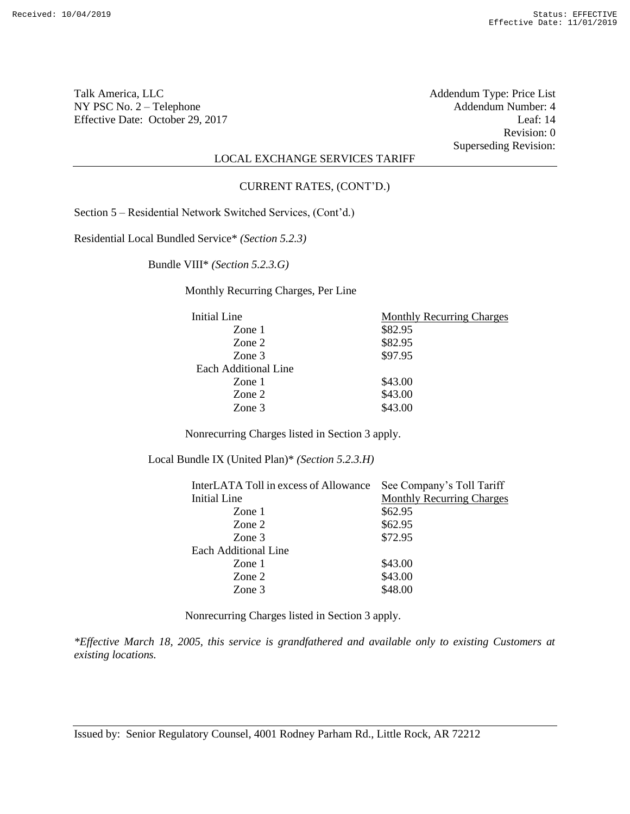Revision: 0 Superseding Revision:

# LOCAL EXCHANGE SERVICES TARIFF

#### CURRENT RATES, (CONT'D.)

Section 5 – Residential Network Switched Services, (Cont'd.)

Residential Local Bundled Service\* *(Section 5.2.3)*

Bundle VIII\* *(Section 5.2.3.G)*

Monthly Recurring Charges, Per Line

| Initial Line         | <b>Monthly Recurring Charges</b> |
|----------------------|----------------------------------|
| Zone $1$             | \$82.95                          |
| Zone 2               | \$82.95                          |
| Zone 3               | \$97.95                          |
| Each Additional Line |                                  |
| Zone $1$             | \$43.00                          |
| Zone 2               | \$43.00                          |
| Zone 3               | \$43.00                          |

Nonrecurring Charges listed in Section 3 apply.

Local Bundle IX (United Plan)\* *(Section 5.2.3.H)*

| InterLATA Toll in excess of Allowance | See Company's Toll Tariff        |
|---------------------------------------|----------------------------------|
| Initial Line                          | <b>Monthly Recurring Charges</b> |
| Zone 1                                | \$62.95                          |
| Zone 2                                | \$62.95                          |
| Zone 3                                | \$72.95                          |
| Each Additional Line                  |                                  |
| Zone 1                                | \$43.00                          |
| Zone 2                                | \$43.00                          |
| Zone 3                                | \$48.00                          |
|                                       |                                  |

Nonrecurring Charges listed in Section 3 apply.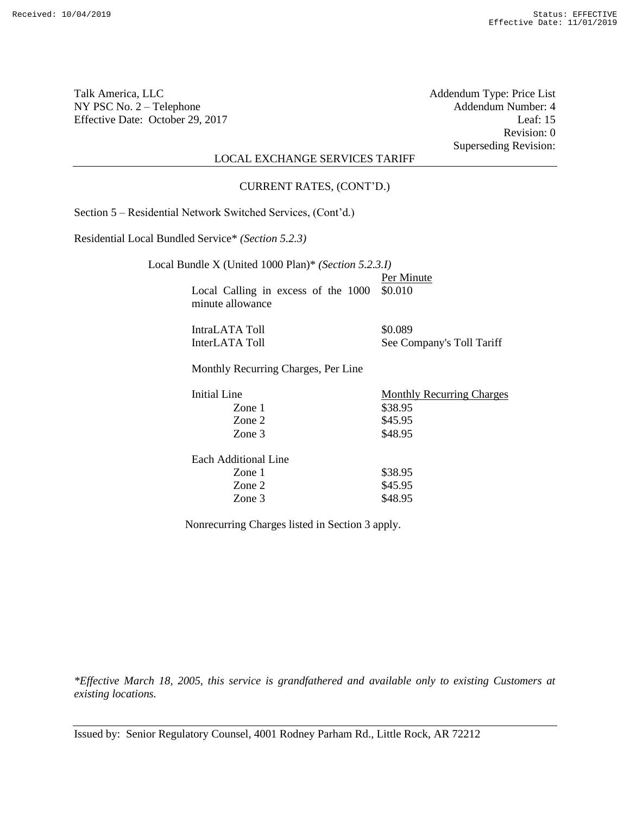Revision: 0 Superseding Revision:

## LOCAL EXCHANGE SERVICES TARIFF

#### CURRENT RATES, (CONT'D.)

Section 5 – Residential Network Switched Services, (Cont'd.)

Residential Local Bundled Service\* *(Section 5.2.3)*

| Local Bundle X (United 1000 Plan)* (Section 5.2.3.1) |                                  |
|------------------------------------------------------|----------------------------------|
|                                                      | Per Minute                       |
| Local Calling in excess of the 1000                  | \$0.010                          |
| minute allowance                                     |                                  |
|                                                      |                                  |
| IntraLATA Toll                                       | \$0.089                          |
| InterLATA Toll                                       | See Company's Toll Tariff        |
|                                                      |                                  |
| Monthly Recurring Charges, Per Line                  |                                  |
|                                                      |                                  |
| Initial Line                                         | <b>Monthly Recurring Charges</b> |
| Zone 1                                               | \$38.95                          |
| Zone 2                                               | \$45.95                          |
|                                                      |                                  |
| Zone 3                                               | \$48.95                          |
|                                                      |                                  |
| Each Additional Line                                 |                                  |
| Zone $1$                                             | \$38.95                          |
| Zone 2                                               | \$45.95                          |
| Zone 3                                               | \$48.95                          |

Nonrecurring Charges listed in Section 3 apply.

*\*Effective March 18, 2005, this service is grandfathered and available only to existing Customers at existing locations.*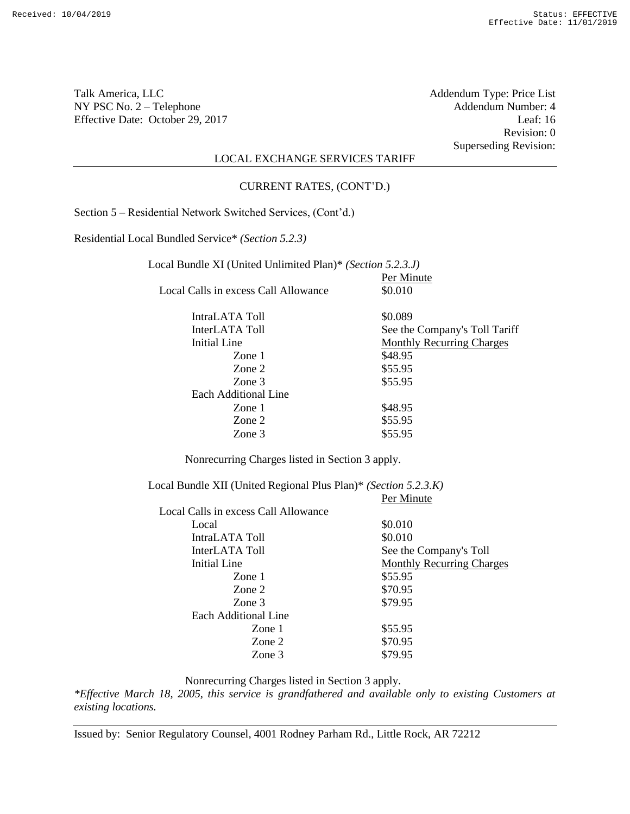Revision: 0 Superseding Revision:

# LOCAL EXCHANGE SERVICES TARIFF

CURRENT RATES, (CONT'D.)

Section 5 – Residential Network Switched Services, (Cont'd.)

Residential Local Bundled Service\* *(Section 5.2.3)*

| Local Bundle XI (United Unlimited Plan)* (Section 5.2.3.J) |                                  |  |
|------------------------------------------------------------|----------------------------------|--|
|                                                            | Per Minute                       |  |
| Local Calls in excess Call Allowance                       | \$0.010                          |  |
| IntraLATA Toll                                             | \$0.089                          |  |
| InterLATA Toll                                             | See the Company's Toll Tariff    |  |
| Initial Line                                               | <b>Monthly Recurring Charges</b> |  |
| Zone 1                                                     | \$48.95                          |  |
| Zone 2                                                     | \$55.95                          |  |
| Zone 3                                                     | \$55.95                          |  |
| Each Additional Line                                       |                                  |  |
| Zone 1                                                     | \$48.95                          |  |
| Zone 2                                                     | \$55.95                          |  |
| Zone 3                                                     | \$55.95                          |  |

Nonrecurring Charges listed in Section 3 apply.

Local Bundle XII (United Regional Plus Plan)\* *(Section 5.2.3.K)* Per Minute Local Calls in excess Call Allowance Local  $$0.010$ <br>
Intra ATA Tell  $$0.010$  $I_{\text{ntmol}}$   $\Lambda$  T $\Lambda$   $\text{Ta}$   $11$ 

| IntraLATA TOIL       | \$0.010                          |
|----------------------|----------------------------------|
| InterLATA Toll       | See the Company's Toll           |
| Initial Line         | <b>Monthly Recurring Charges</b> |
| Zone 1               | \$55.95                          |
| Zone 2               | \$70.95                          |
| Zone 3               | \$79.95                          |
| Each Additional Line |                                  |
| Zone 1               | \$55.95                          |
| Zone 2               | \$70.95                          |
| Zone 3               | \$79.95                          |

Nonrecurring Charges listed in Section 3 apply.

*\*Effective March 18, 2005, this service is grandfathered and available only to existing Customers at existing locations.*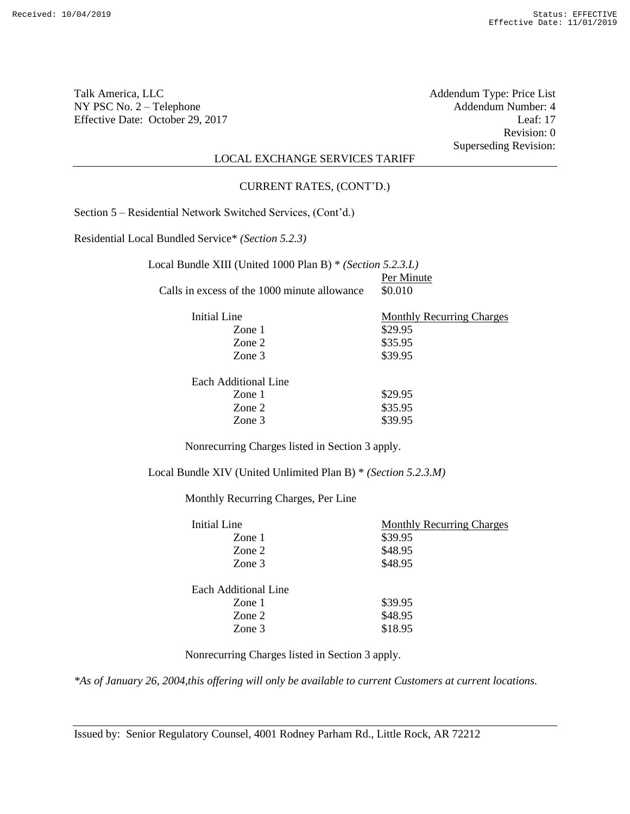Revision: 0 Superseding Revision:

# LOCAL EXCHANGE SERVICES TARIFF

#### CURRENT RATES, (CONT'D.)

Section 5 – Residential Network Switched Services, (Cont'd.)

Residential Local Bundled Service\* *(Section 5.2.3)*

| Local Bundle XIII (United 1000 Plan B) * (Section 5.2.3.L) |            |
|------------------------------------------------------------|------------|
|                                                            | Per Minute |
| Calls in excess of the 1000 minute allowance               | \$0.010    |

| Initial Line         | <b>Monthly Recurring Charges</b> |
|----------------------|----------------------------------|
| Zone 1               | \$29.95                          |
| Zone 2               | \$35.95                          |
| Zone $3$             | \$39.95                          |
| Each Additional Line |                                  |

| ach i ruundinaf Lihe |         |
|----------------------|---------|
| Zone 1               | \$29.95 |
| Zone 2               | \$35.95 |
| Zone $3$             | \$39.95 |
|                      |         |

Nonrecurring Charges listed in Section 3 apply.

Local Bundle XIV (United Unlimited Plan B) \* *(Section 5.2.3.M)*

Monthly Recurring Charges, Per Line

| Initial Line         | <b>Monthly Recurring Charges</b> |
|----------------------|----------------------------------|
| Zone 1               | \$39.95                          |
| Zone 2               | \$48.95                          |
| Zone 3               | \$48.95                          |
| Each Additional Line |                                  |
| Zone 1               | \$39.95                          |
| Zone 2               | \$48.95                          |
| Zone 3               | \$18.95                          |
|                      |                                  |

Nonrecurring Charges listed in Section 3 apply.

*\*As of January 26, 2004,this offering will only be available to current Customers at current locations.*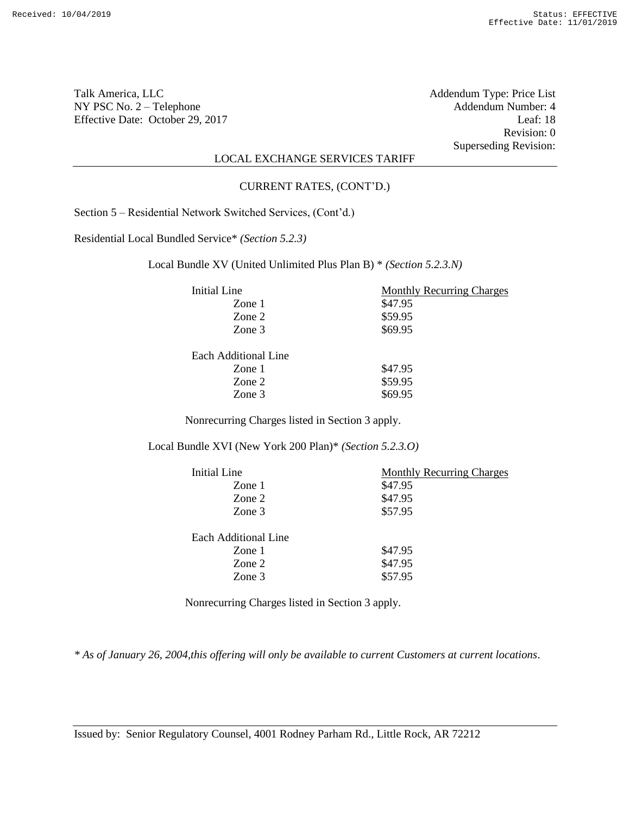Revision: 0 Superseding Revision:

# LOCAL EXCHANGE SERVICES TARIFF

#### CURRENT RATES, (CONT'D.)

Section 5 – Residential Network Switched Services, (Cont'd.)

Residential Local Bundled Service\* *(Section 5.2.3)*

Local Bundle XV (United Unlimited Plus Plan B) \* *(Section 5.2.3.N)*

| Initial Line         | <b>Monthly Recurring Charges</b> |
|----------------------|----------------------------------|
| Zone 1               | \$47.95                          |
| Zone 2               | \$59.95                          |
| Zone 3               | \$69.95                          |
| Each Additional Line |                                  |
| Zone 1               | \$47.95                          |
| Zone 2               | \$59.95                          |
| Zone 3               | \$69.95                          |

Nonrecurring Charges listed in Section 3 apply.

Local Bundle XVI (New York 200 Plan)\* *(Section 5.2.3.O)*

| <b>Monthly Recurring Charges</b> |
|----------------------------------|
| \$47.95                          |
| \$47.95                          |
| \$57.95                          |
|                                  |
|                                  |
| \$47.95                          |
| \$47.95                          |
| \$57.95                          |
|                                  |

Nonrecurring Charges listed in Section 3 apply.

*\* As of January 26, 2004,this offering will only be available to current Customers at current locations*.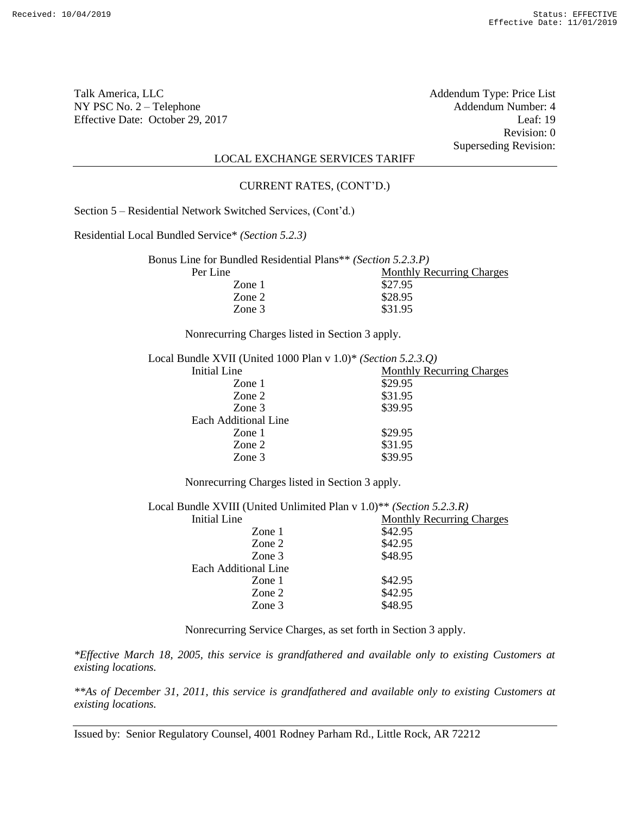Talk America, LLC **Talk America**, LLC **Addendum Type:** Price List NY PSC No. 2 – Telephone <br>
Effective Date: October 29, 2017 <br>
Leaf: 19 Effective Date: October 29, 2017

Revision: 0 Superseding Revision:

# LOCAL EXCHANGE SERVICES TARIFF

CURRENT RATES, (CONT'D.)

Section 5 – Residential Network Switched Services, (Cont'd.)

Residential Local Bundled Service\* *(Section 5.2.3)*

| Bonus Line for Bundled Residential Plans** (Section 5.2.3.P) |                                  |
|--------------------------------------------------------------|----------------------------------|
| Per Line                                                     | <b>Monthly Recurring Charges</b> |
| Zone 1                                                       | \$27.95                          |
| Zone 2                                                       | \$28.95                          |
| Zone $3$                                                     | \$31.95                          |
|                                                              |                                  |

Nonrecurring Charges listed in Section 3 apply.

| Local Bundle XVII (United 1000 Plan v $1.0$ )* (Section 5.2.3.Q) |                                  |
|------------------------------------------------------------------|----------------------------------|
| Initial Line                                                     | <b>Monthly Recurring Charges</b> |
| Zone 1                                                           | \$29.95                          |
| Zone 2                                                           | \$31.95                          |
| Zone 3                                                           | \$39.95                          |
| Each Additional Line                                             |                                  |
| Zone $1$                                                         | \$29.95                          |
| Zone 2                                                           | \$31.95                          |
| Zone 3                                                           | \$39.95                          |
|                                                                  |                                  |

Nonrecurring Charges listed in Section 3 apply.

| Local Bundle XVIII (United Unlimited Plan v 1.0)** (Section 5.2.3.R) |                                  |  |
|----------------------------------------------------------------------|----------------------------------|--|
| Initial Line                                                         | <b>Monthly Recurring Charges</b> |  |
| Zone $1$                                                             | \$42.95                          |  |
| Zone 2                                                               | \$42.95                          |  |
| Zone 3                                                               | \$48.95                          |  |
| Each Additional Line                                                 |                                  |  |
| Zone 1                                                               | \$42.95                          |  |
| Zone 2                                                               | \$42.95                          |  |
| Zone 3                                                               | \$48.95                          |  |
|                                                                      |                                  |  |

Nonrecurring Service Charges, as set forth in Section 3 apply.

*\*Effective March 18, 2005, this service is grandfathered and available only to existing Customers at existing locations.*

*\*\*As of December 31, 2011, this service is grandfathered and available only to existing Customers at existing locations.*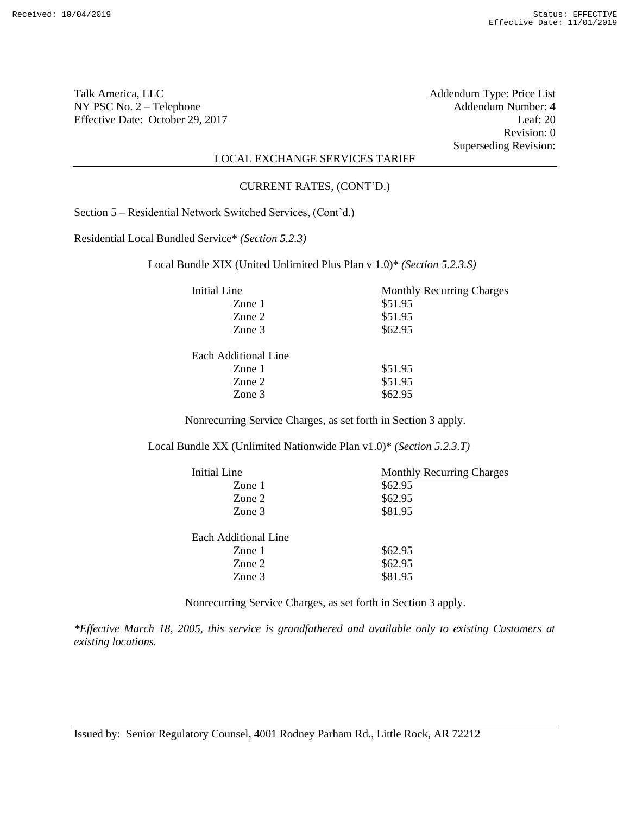Talk America, LLC **Talk America**, LLC **Addendum Type:** Price List NY PSC No. 2 – Telephone <br>
Effective Date: October 29, 2017 <br>
Leaf: 20 Effective Date: October 29, 2017

Revision: 0 Superseding Revision:

# LOCAL EXCHANGE SERVICES TARIFF

#### CURRENT RATES, (CONT'D.)

Section 5 – Residential Network Switched Services, (Cont'd.)

Residential Local Bundled Service\* *(Section 5.2.3)*

Local Bundle XIX (United Unlimited Plus Plan v 1.0)\* *(Section 5.2.3.S)*

| Initial Line         | <b>Monthly Recurring Charges</b> |
|----------------------|----------------------------------|
| Zone 1               | \$51.95                          |
| Zone 2               | \$51.95                          |
| Zone 3               | \$62.95                          |
| Each Additional Line |                                  |
| Zone 1               | \$51.95                          |
| Zone 2               | \$51.95                          |
| Zone 3               | \$62.95                          |
|                      |                                  |

Nonrecurring Service Charges, as set forth in Section 3 apply.

Local Bundle XX (Unlimited Nationwide Plan v1.0)\* *(Section 5.2.3.T)*

| Initial Line         | <b>Monthly Recurring Charges</b> |
|----------------------|----------------------------------|
| Zone 1               | \$62.95                          |
| Zone 2               | \$62.95                          |
| Zone 3               | \$81.95                          |
| Each Additional Line |                                  |
| Zone 1               | \$62.95                          |
| Zone 2               | \$62.95                          |
| Zone 3               | \$81.95                          |

Nonrecurring Service Charges, as set forth in Section 3 apply.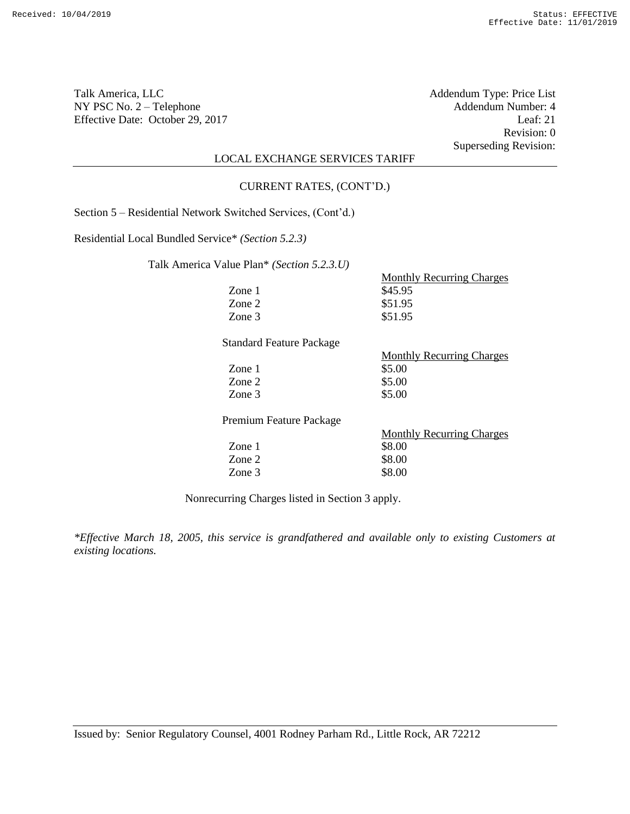Talk America, LLC Addendum Type: Price List NY PSC No. 2 – Telephone Addendum Number: 4<br>Effective Date: October 29, 2017 Leaf: 21 Effective Date: October 29, 2017

Revision: 0 Superseding Revision:

# LOCAL EXCHANGE SERVICES TARIFF

#### CURRENT RATES, (CONT'D.)

Section 5 – Residential Network Switched Services, (Cont'd.)

Residential Local Bundled Service\* *(Section 5.2.3)*

Talk America Value Plan\* *(Section 5.2.3.U)*

|                                 | <b>Monthly Recurring Charges</b> |
|---------------------------------|----------------------------------|
| Zone 1                          | \$45.95                          |
| Zone 2                          | \$51.95                          |
| Zone 3                          | \$51.95                          |
| <b>Standard Feature Package</b> |                                  |
|                                 | <b>Monthly Recurring Charges</b> |
| Zone 1                          | \$5.00                           |
| Zone 2                          | \$5.00                           |
| Zone 3                          | \$5.00                           |
| Premium Feature Package         |                                  |

Monthly Recurring Charges Zone 1 \$8.00 Zone 2 \$8.00 Zone 3 \$8.00

Nonrecurring Charges listed in Section 3 apply.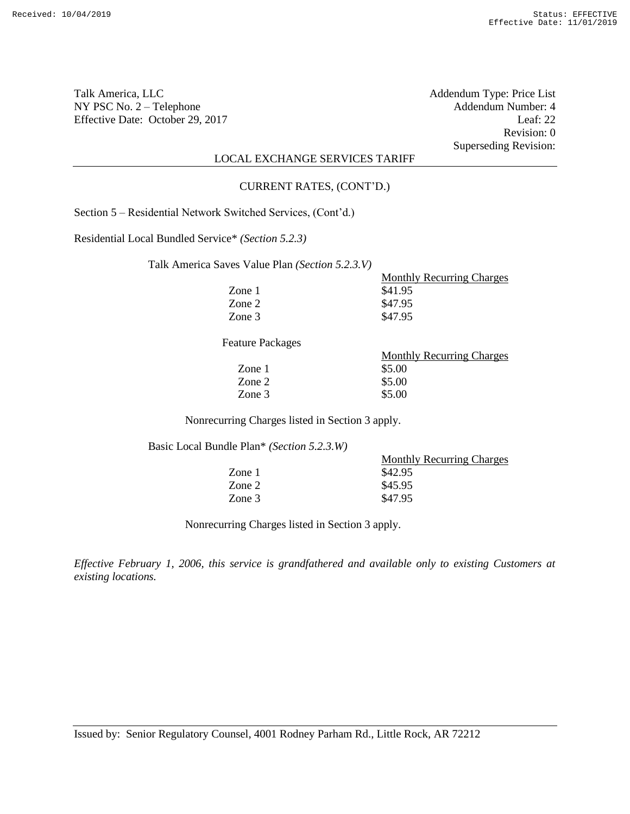Revision: 0 Superseding Revision:

# LOCAL EXCHANGE SERVICES TARIFF

#### CURRENT RATES, (CONT'D.)

Section 5 – Residential Network Switched Services, (Cont'd.)

Residential Local Bundled Service\* *(Section 5.2.3)*

Talk America Saves Value Plan *(Section 5.2.3.V)*

| es Value Plan <i>(Section 5.2.3.V)</i> |                                  |
|----------------------------------------|----------------------------------|
|                                        | <b>Monthly Recurring Charges</b> |
| Zone 1                                 | \$41.95                          |
| Zone 2                                 | \$47.95                          |
| Zone 3                                 | \$47.95                          |
|                                        |                                  |

Feature Packages

| <b>Monthly Recurring Charges</b> |  |
|----------------------------------|--|
| \$5.00                           |  |
| \$5.00                           |  |
| \$5.00                           |  |
|                                  |  |

Nonrecurring Charges listed in Section 3 apply.

Basic Local Bundle Plan\* *(Section 5.2.3.W)*

| <b>Monthly Recurring Charges</b> |
|----------------------------------|
| \$42.95                          |
| \$45.95                          |
| \$47.95                          |
|                                  |

Nonrecurring Charges listed in Section 3 apply.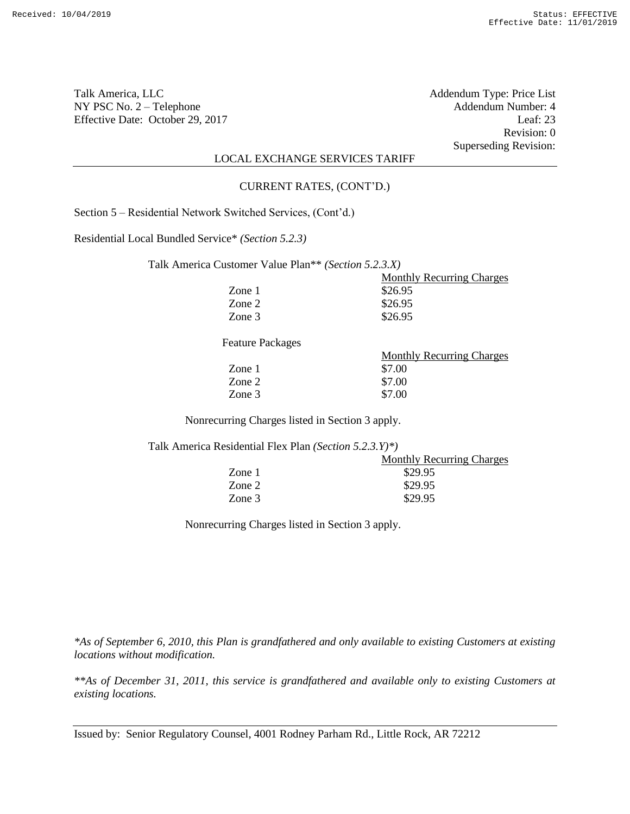Revision: 0 Superseding Revision:

### LOCAL EXCHANGE SERVICES TARIFF

#### CURRENT RATES, (CONT'D.)

Section 5 – Residential Network Switched Services, (Cont'd.)

Residential Local Bundled Service\* *(Section 5.2.3)*

Talk America Customer Value Plan\*\* *(Section 5.2.3.X)*

|        | <b>Monthly Recurring Charges</b> |
|--------|----------------------------------|
| Zone 1 | \$26.95                          |
| Zone 2 | \$26.95                          |
| Zone 3 | \$26.95                          |

Feature Packages

| <b>Monthly Recurring Charges</b> |  |
|----------------------------------|--|
| \$7.00                           |  |
| \$7.00                           |  |
| \$7.00                           |  |
|                                  |  |

Nonrecurring Charges listed in Section 3 apply.

Talk America Residential Flex Plan *(Section 5.2.3.Y)\*)*

| Zone 1<br>\$29.95 | <b>Monthly Recurring Charges</b> |  |
|-------------------|----------------------------------|--|
|                   |                                  |  |
| Zone 2<br>\$29.95 |                                  |  |
| \$29.95<br>Zone 3 |                                  |  |

Nonrecurring Charges listed in Section 3 apply.

*\*As of September 6, 2010, this Plan is grandfathered and only available to existing Customers at existing locations without modification.*

*\*\*As of December 31, 2011, this service is grandfathered and available only to existing Customers at existing locations.*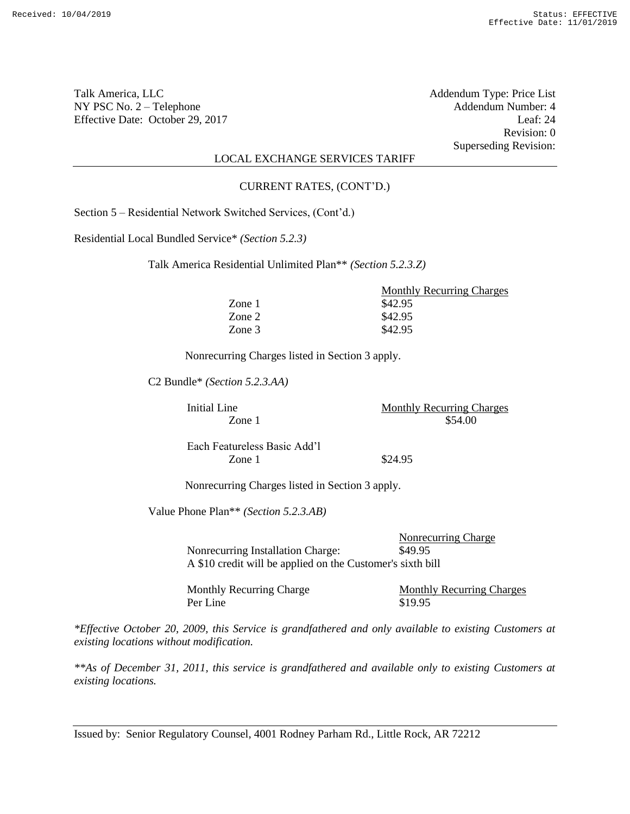Revision: 0 Superseding Revision:

### LOCAL EXCHANGE SERVICES TARIFF

#### CURRENT RATES, (CONT'D.)

Section 5 – Residential Network Switched Services, (Cont'd.)

Residential Local Bundled Service\* *(Section 5.2.3)*

Talk America Residential Unlimited Plan\*\* *(Section 5.2.3.Z)*

|        | <b>Monthly Recurring Charges</b> |
|--------|----------------------------------|
| Zone 1 | \$42.95                          |
| Zone 2 | \$42.95                          |
| Zone 3 | \$42.95                          |

Nonrecurring Charges listed in Section 3 apply.

C2 Bundle\* *(Section 5.2.3.AA)*

Initial Line Monthly Recurring Charges  $\text{Zone} \, 1 \quad \text{554.00}$ 

Each Featureless Basic Add'l Zone 1 \$24.95

Nonrecurring Charges listed in Section 3 apply.

Value Phone Plan\*\* *(Section 5.2.3.AB)*

Nonrecurring Charge Nonrecurring Installation Charge: \$49.95 A \$10 credit will be applied on the Customer's sixth bill

Monthly Recurring Charge Monthly Recurring Charges Per Line \$19.95

*\*Effective October 20, 2009, this Service is grandfathered and only available to existing Customers at existing locations without modification.* 

*\*\*As of December 31, 2011, this service is grandfathered and available only to existing Customers at existing locations.*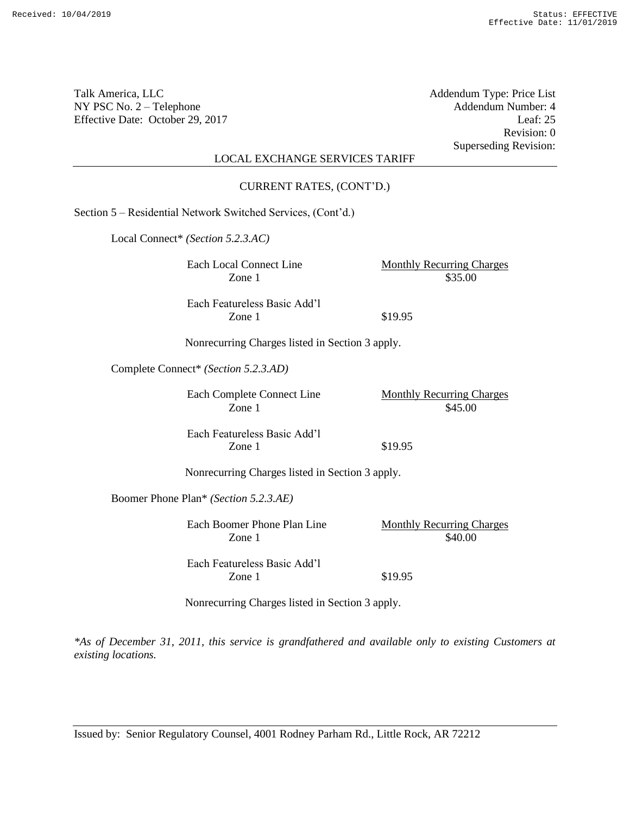| Talk America, LLC<br>NY PSC No. $2 -$ Telephone<br>Effective Date: October 29, 2017 |                                                              | Addendum Type: Price List<br>Addendum Number: 4<br>Leaf: 25<br>Revision: 0 |
|-------------------------------------------------------------------------------------|--------------------------------------------------------------|----------------------------------------------------------------------------|
|                                                                                     | <b>LOCAL EXCHANGE SERVICES TARIFF</b>                        | <b>Superseding Revision:</b>                                               |
|                                                                                     | CURRENT RATES, (CONT'D.)                                     |                                                                            |
|                                                                                     | Section 5 - Residential Network Switched Services, (Cont'd.) |                                                                            |
|                                                                                     | Local Connect* (Section 5.2.3.AC)                            |                                                                            |
|                                                                                     | Each Local Connect Line<br>Zone 1                            | <b>Monthly Recurring Charges</b><br>\$35.00                                |
|                                                                                     | Each Featureless Basic Add'l<br>Zone 1                       | \$19.95                                                                    |
|                                                                                     | Nonrecurring Charges listed in Section 3 apply.              |                                                                            |
|                                                                                     | Complete Connect* (Section 5.2.3.AD)                         |                                                                            |
|                                                                                     | Each Complete Connect Line<br>Zone 1                         | <b>Monthly Recurring Charges</b><br>\$45.00                                |
|                                                                                     | Each Featureless Basic Add'l<br>Zone 1                       | \$19.95                                                                    |
| Nonrecurring Charges listed in Section 3 apply.                                     |                                                              |                                                                            |
|                                                                                     | Boomer Phone Plan* (Section 5.2.3.AE)                        |                                                                            |
|                                                                                     | Each Boomer Phone Plan Line<br>Zone 1                        | <b>Monthly Recurring Charges</b><br>\$40.00                                |
|                                                                                     | Each Featureless Basic Add'l<br>Zone 1                       | \$19.95                                                                    |
|                                                                                     | Nonrecurring Charges listed in Section 3 apply.              |                                                                            |

*\*As of December 31, 2011, this service is grandfathered and available only to existing Customers at existing locations.*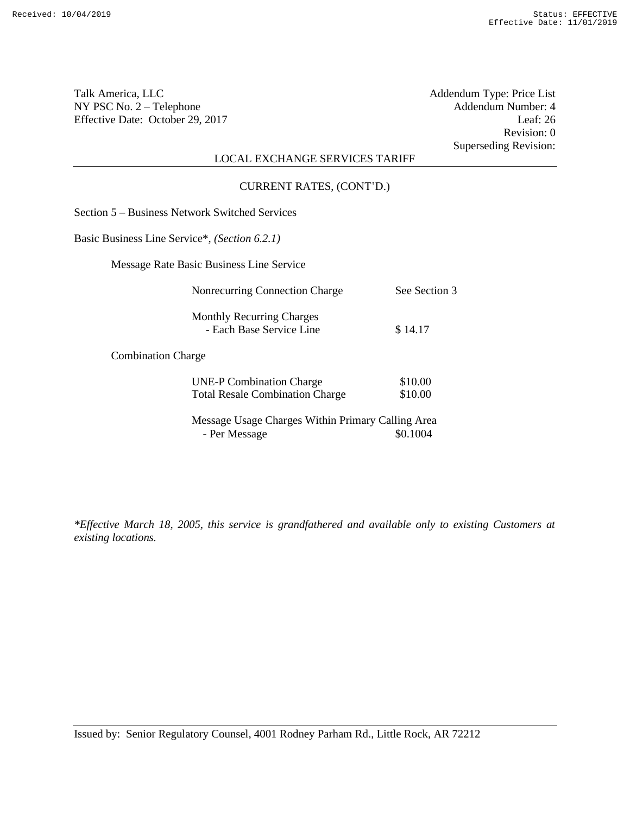Revision: 0 Superseding Revision:

# LOCAL EXCHANGE SERVICES TARIFF

CURRENT RATES, (CONT'D.)

Section 5 – Business Network Switched Services

Basic Business Line Service\*, *(Section 6.2.1)*

Message Rate Basic Business Line Service

| Nonrecurring Connection Charge                               | See Section 3 |
|--------------------------------------------------------------|---------------|
| <b>Monthly Recurring Charges</b><br>- Each Base Service Line | \$14.17       |
|                                                              |               |

Combination Charge

| <b>UNE-P Combination Charge</b>        | \$10.00 |
|----------------------------------------|---------|
| <b>Total Resale Combination Charge</b> | \$10.00 |

Message Usage Charges Within Primary Calling Area - Per Message  $\$0.1004$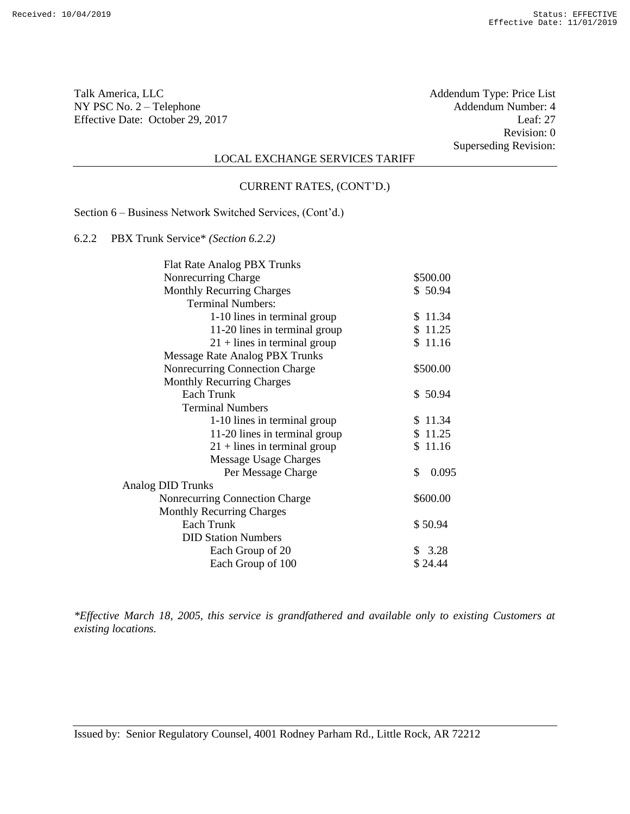Talk America, LLC Addendum Type: Price List NY PSC No. 2 – Telephone Addendum Number: 4<br>Effective Date: October 29, 2017 Leaf: 27 Effective Date: October 29, 2017

Revision: 0 Superseding Revision:

## LOCAL EXCHANGE SERVICES TARIFF

#### CURRENT RATES, (CONT'D.)

Section 6 – Business Network Switched Services, (Cont'd.)

6.2.2 PBX Trunk Service\* *(Section 6.2.2)*

| <b>Flat Rate Analog PBX Trunks</b> |              |
|------------------------------------|--------------|
| Nonrecurring Charge                | \$500.00     |
| <b>Monthly Recurring Charges</b>   | \$50.94      |
| <b>Terminal Numbers:</b>           |              |
| 1-10 lines in terminal group       | \$11.34      |
| 11-20 lines in terminal group      | \$11.25      |
| $21 +$ lines in terminal group     | \$11.16      |
| Message Rate Analog PBX Trunks     |              |
| Nonrecurring Connection Charge     | \$500.00     |
| <b>Monthly Recurring Charges</b>   |              |
| Each Trunk                         | \$50.94      |
| <b>Terminal Numbers</b>            |              |
| 1-10 lines in terminal group       | \$11.34      |
| 11-20 lines in terminal group      | \$11.25      |
| $21 +$ lines in terminal group     | \$11.16      |
| Message Usage Charges              |              |
| Per Message Charge                 | 0.095<br>\$. |
| <b>Analog DID Trunks</b>           |              |
| Nonrecurring Connection Charge     | \$600.00     |
| <b>Monthly Recurring Charges</b>   |              |
| <b>Each Trunk</b>                  | \$50.94      |
| <b>DID Station Numbers</b>         |              |
| Each Group of 20                   | \$3.28       |
| Each Group of 100                  | \$24.44      |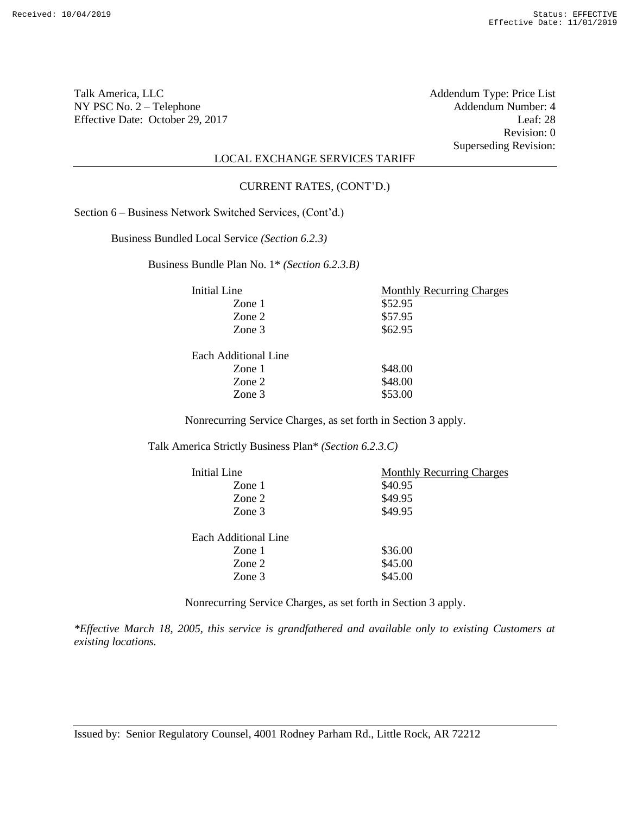Revision: 0 Superseding Revision:

# LOCAL EXCHANGE SERVICES TARIFF

#### CURRENT RATES, (CONT'D.)

Section 6 – Business Network Switched Services, (Cont'd.)

Business Bundled Local Service *(Section 6.2.3)*

Business Bundle Plan No. 1\* *(Section 6.2.3.B)*

| <b>Initial Line</b>  | <b>Monthly Recurring Charges</b> |
|----------------------|----------------------------------|
| Zone 1               | \$52.95                          |
| Zone 2               | \$57.95                          |
| Zone 3               | \$62.95                          |
| Each Additional Line |                                  |
| Zone 1               | \$48.00                          |
| Zone 2               | \$48.00                          |
| Zone 3               | \$53.00                          |

Nonrecurring Service Charges, as set forth in Section 3 apply.

Talk America Strictly Business Plan\* *(Section 6.2.3.C)*

| Initial Line         | <b>Monthly Recurring Charges</b> |
|----------------------|----------------------------------|
| Zone 1               | \$40.95                          |
| Zone 2               | \$49.95                          |
| Zone 3               | \$49.95                          |
|                      |                                  |
| Each Additional Line |                                  |
| Zone 1               | \$36.00                          |
| Zone 2               | \$45.00                          |
| Zone 3               | \$45.00                          |

Nonrecurring Service Charges, as set forth in Section 3 apply.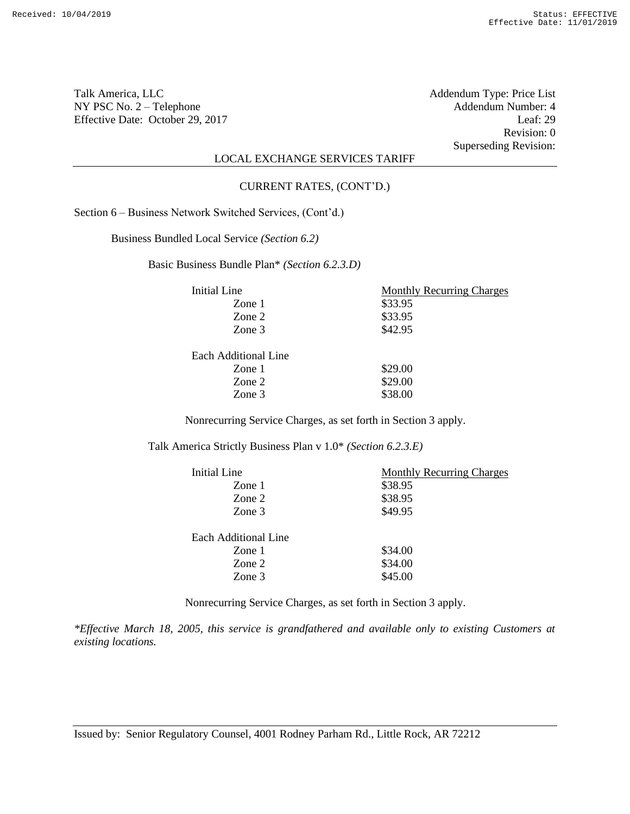Talk America, LLC Addendum Type: Price List NY PSC No. 2 – Telephone <br>
Effective Date: October 29, 2017 <br>
Leaf: 29 Effective Date: October 29, 2017

Revision: 0 Superseding Revision:

# LOCAL EXCHANGE SERVICES TARIFF

#### CURRENT RATES, (CONT'D.)

Section 6 – Business Network Switched Services, (Cont'd.)

Business Bundled Local Service *(Section 6.2)*

Basic Business Bundle Plan\* *(Section 6.2.3.D)*

| Initial Line         | <b>Monthly Recurring Charges</b> |
|----------------------|----------------------------------|
| Zone 1               | \$33.95                          |
| Zone 2               | \$33.95                          |
| Zone 3               | \$42.95                          |
| Each Additional Line |                                  |
| Zone 1               | \$29.00                          |
| Zone 2               | \$29.00                          |
| Zone 3               | \$38.00                          |

Nonrecurring Service Charges, as set forth in Section 3 apply.

Talk America Strictly Business Plan v 1.0\* *(Section 6.2.3.E)*

| Initial Line         | <b>Monthly Recurring Charges</b> |
|----------------------|----------------------------------|
| Zone 1               | \$38.95                          |
| Zone 2               | \$38.95                          |
| Zone 3               | \$49.95                          |
|                      |                                  |
| Each Additional Line |                                  |
| Zone 1               | \$34.00                          |
| Zone 2               | \$34.00                          |
| Zone 3               | \$45.00                          |

Nonrecurring Service Charges, as set forth in Section 3 apply.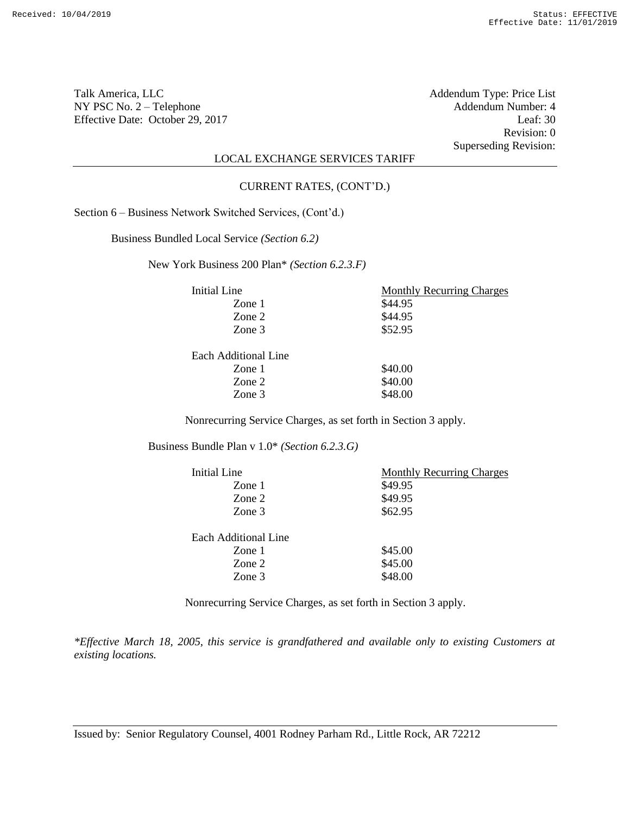Talk America, LLC Addendum Type: Price List NY PSC No. 2 – Telephone <br>
Effective Date: October 29, 2017 <br>
Leaf: 30 Effective Date: October 29, 2017

Revision: 0 Superseding Revision:

# LOCAL EXCHANGE SERVICES TARIFF

#### CURRENT RATES, (CONT'D.)

Section 6 – Business Network Switched Services, (Cont'd.)

Business Bundled Local Service *(Section 6.2)*

New York Business 200 Plan\* *(Section 6.2.3.F)*

| Initial Line         | <b>Monthly Recurring Charges</b> |
|----------------------|----------------------------------|
| Zone 1               | \$44.95                          |
| Zone 2               | \$44.95                          |
| Zone 3               | \$52.95                          |
| Each Additional Line |                                  |
| Zone 1               | \$40.00                          |
| Zone 2               | \$40.00                          |
| Zone 3               | \$48.00                          |
|                      |                                  |

Nonrecurring Service Charges, as set forth in Section 3 apply.

Business Bundle Plan v 1.0\* *(Section 6.2.3.G)*

| Initial Line         | <b>Monthly Recurring Charges</b> |
|----------------------|----------------------------------|
| Zone 1               | \$49.95                          |
| Zone 2               | \$49.95                          |
| Zone 3               | \$62.95                          |
|                      |                                  |
| Each Additional Line |                                  |
| Zone 1               | \$45.00                          |
| Zone 2               | \$45.00                          |
| Zone 3               | \$48.00                          |

Nonrecurring Service Charges, as set forth in Section 3 apply.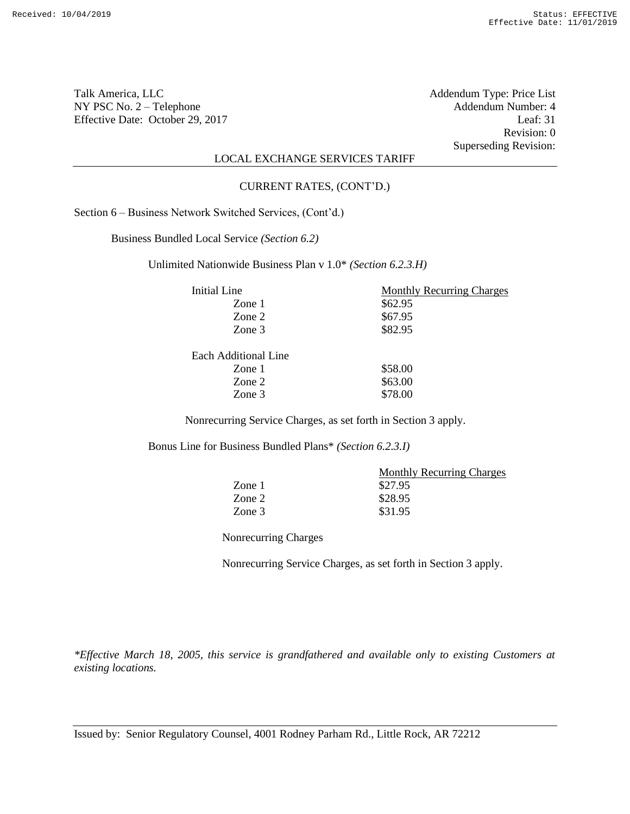Revision: 0 Superseding Revision:

# LOCAL EXCHANGE SERVICES TARIFF

#### CURRENT RATES, (CONT'D.)

Section 6 – Business Network Switched Services, (Cont'd.)

Business Bundled Local Service *(Section 6.2)*

Unlimited Nationwide Business Plan v 1.0\* *(Section 6.2.3.H)*

| Initial Line         | <b>Monthly Recurring Charges</b> |
|----------------------|----------------------------------|
| Zone 1               | \$62.95                          |
| Zone 2               | \$67.95                          |
| Zone 3               | \$82.95                          |
| Each Additional Line |                                  |
| Zone 1               | \$58.00                          |
| Zone 2               | \$63.00                          |
| Zone 3               | \$78.00                          |

Nonrecurring Service Charges, as set forth in Section 3 apply.

Bonus Line for Business Bundled Plans\* *(Section 6.2.3.I)*

|        | <b>Monthly Recurring Charges</b> |
|--------|----------------------------------|
| Zone 1 | \$27.95                          |
| Zone 2 | \$28.95                          |
| Zone 3 | \$31.95                          |

Nonrecurring Charges

Nonrecurring Service Charges, as set forth in Section 3 apply.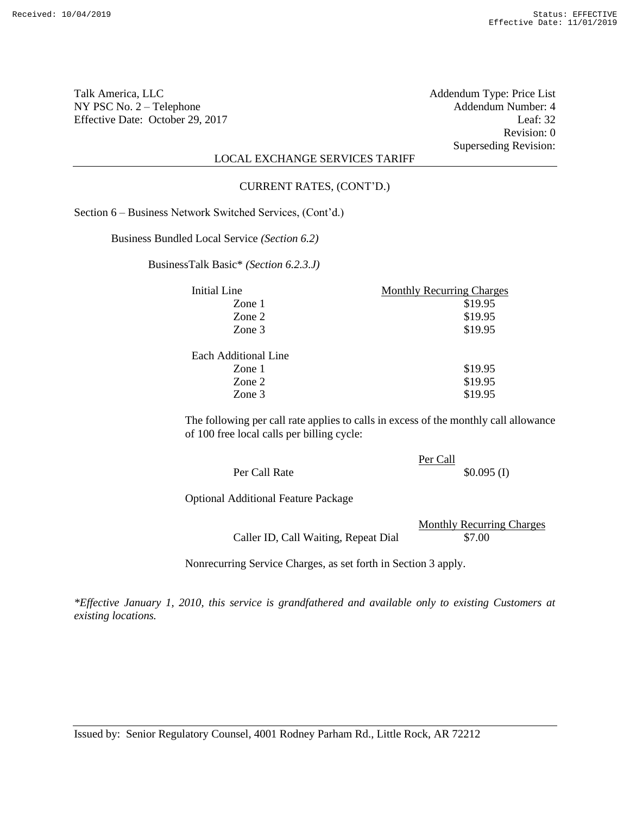Talk America, LLC Addendum Type: Price List NY PSC No. 2 – Telephone <br>Effective Date: October 29, 2017 Leaf: 32 Effective Date: October 29, 2017

Revision: 0 Superseding Revision:

# LOCAL EXCHANGE SERVICES TARIFF

#### CURRENT RATES, (CONT'D.)

Section 6 – Business Network Switched Services, (Cont'd.)

Business Bundled Local Service *(Section 6.2)*

BusinessTalk Basic\* *(Section 6.2.3.J)*

| Initial Line         | <b>Monthly Recurring Charges</b> |  |
|----------------------|----------------------------------|--|
| Zone 1               | \$19.95                          |  |
| Zone 2               | \$19.95                          |  |
| Zone 3               | \$19.95                          |  |
| Each Additional Line |                                  |  |
| Zone 1               | \$19.95                          |  |
| Zone 2               | \$19.95                          |  |
| Zone 3               | \$19.95                          |  |

The following per call rate applies to calls in excess of the monthly call allowance of 100 free local calls per billing cycle:

|               | Per Call |              |
|---------------|----------|--------------|
| Per Call Rate |          | $$0.095$ (I) |

Optional Additional Feature Package

|                                      | <b>Monthly Recurring Charges</b> |
|--------------------------------------|----------------------------------|
| Caller ID, Call Waiting, Repeat Dial | \$7.00                           |

Nonrecurring Service Charges, as set forth in Section 3 apply.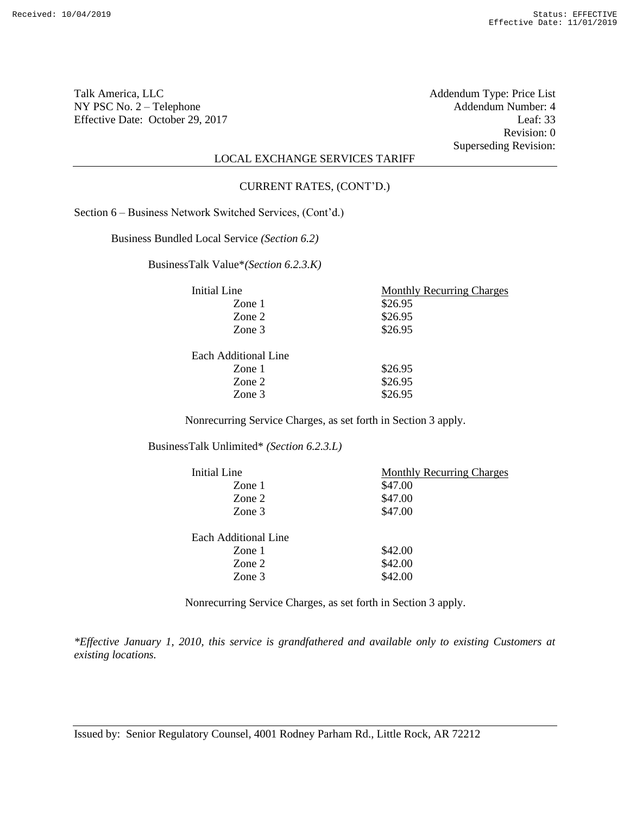Talk America, LLC Addendum Type: Price List NY PSC No. 2 – Telephone Addendum Number: 4<br>Effective Date: October 29, 2017 Leaf: 33 Effective Date: October 29, 2017

Revision: 0 Superseding Revision:

## LOCAL EXCHANGE SERVICES TARIFF

#### CURRENT RATES, (CONT'D.)

Section 6 – Business Network Switched Services, (Cont'd.)

Business Bundled Local Service *(Section 6.2)*

BusinessTalk Value\**(Section 6.2.3.K)*

| Initial Line         | <b>Monthly Recurring Charges</b> |
|----------------------|----------------------------------|
| Zone $1$             | \$26.95                          |
| Zone 2               | \$26.95                          |
| Zone 3               | \$26.95                          |
| Each Additional Line |                                  |
| Zone $1$             | \$26.95                          |
| Zone 2               | \$26.95                          |
| Zone 3               | \$26.95                          |

Nonrecurring Service Charges, as set forth in Section 3 apply.

BusinessTalk Unlimited\* *(Section 6.2.3.L)*

| Initial Line         | <b>Monthly Recurring Charges</b> |
|----------------------|----------------------------------|
| Zone 1               | \$47.00                          |
| Zone 2               | \$47.00                          |
| Zone 3               | \$47.00                          |
|                      |                                  |
| Each Additional Line |                                  |
| Zone 1               | \$42.00                          |
| Zone 2               | \$42.00                          |
| Zone 3               | \$42.00                          |

Nonrecurring Service Charges, as set forth in Section 3 apply.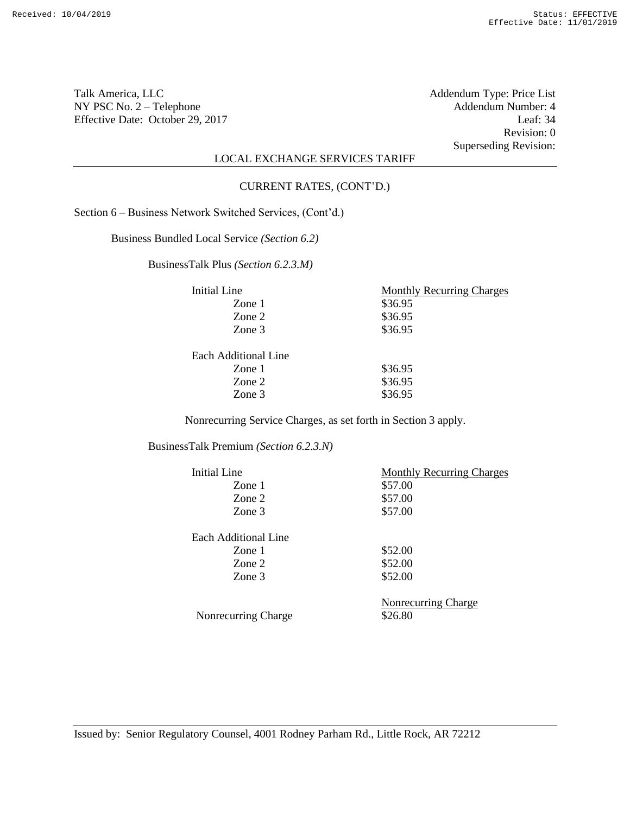Talk America, LLC Addendum Type: Price List NY PSC No. 2 – Telephone Addendum Number: 4<br>Effective Date: October 29, 2017 Leaf: 34 Effective Date: October 29, 2017

Revision: 0 Superseding Revision:

## LOCAL EXCHANGE SERVICES TARIFF

#### CURRENT RATES, (CONT'D.)

Section 6 – Business Network Switched Services, (Cont'd.)

Business Bundled Local Service *(Section 6.2)*

BusinessTalk Plus *(Section 6.2.3.M)*

| Initial Line         | <b>Monthly Recurring Charges</b> |
|----------------------|----------------------------------|
| Zone $1$             | \$36.95                          |
| Zone 2               | \$36.95                          |
| Zone 3               | \$36.95                          |
| Each Additional Line |                                  |
| Zone $1$             | \$36.95                          |
| Zone 2               | \$36.95                          |
| Zone 3               | \$36.95                          |

Nonrecurring Service Charges, as set forth in Section 3 apply.

BusinessTalk Premium *(Section 6.2.3.N)*

| Initial Line         | <b>Monthly Recurring Charges</b> |
|----------------------|----------------------------------|
| Zone 1               | \$57.00                          |
| Zone 2               | \$57.00                          |
| Zone 3               | \$57.00                          |
| Each Additional Line |                                  |
| Zone 1               | \$52.00                          |
| Zone 2               | \$52.00                          |
| Zone 3               | \$52.00                          |
| Nonrecurring Charge  | Nonrecurring Charge<br>\$26.80   |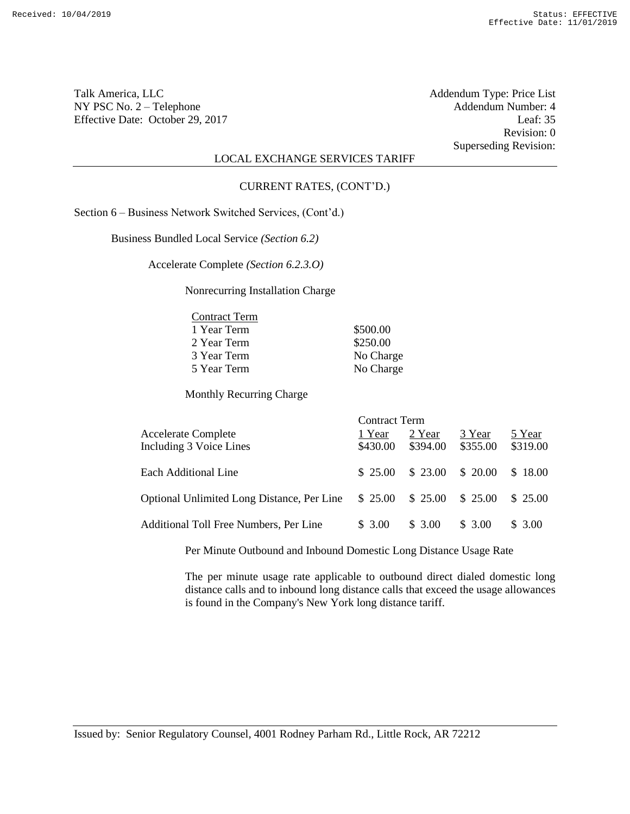Talk America, LLC<br>
NY PSC No. 2 – Telephone<br>
Addendum Number: 4 NY PSC No. 2 – Telephone <br>
Effective Date: October 29, 2017 <br>
Leaf: 35 Effective Date: October 29, 2017

Revision: 0 Superseding Revision:

## LOCAL EXCHANGE SERVICES TARIFF

### CURRENT RATES, (CONT'D.)

Section 6 – Business Network Switched Services, (Cont'd.)

Business Bundled Local Service *(Section 6.2)*

Accelerate Complete *(Section 6.2.3.O)*

Nonrecurring Installation Charge

| <b>Contract Term</b> |           |
|----------------------|-----------|
| 1 Year Term          | \$500.00  |
| 2 Year Term          | \$250.00  |
| 3 Year Term          | No Charge |
| 5 Year Term          | No Charge |

Monthly Recurring Charge

|                                                       | <b>Contract Term</b> |                    |                    |                    |
|-------------------------------------------------------|----------------------|--------------------|--------------------|--------------------|
| <b>Accelerate Complete</b><br>Including 3 Voice Lines | 1 Year<br>\$430.00   | 2 Year<br>\$394.00 | 3 Year<br>\$355.00 | 5 Year<br>\$319.00 |
| Each Additional Line                                  | \$25.00              | \$23.00            | \$20.00            | \$18.00            |
| <b>Optional Unlimited Long Distance, Per Line</b>     | \$25.00              | \$25.00            | \$25.00            | \$25.00            |
| Additional Toll Free Numbers, Per Line                | \$ 3.00              | \$ 3.00            | \$ 3.00            | \$3.00             |

Per Minute Outbound and Inbound Domestic Long Distance Usage Rate

The per minute usage rate applicable to outbound direct dialed domestic long distance calls and to inbound long distance calls that exceed the usage allowances is found in the Company's New York long distance tariff.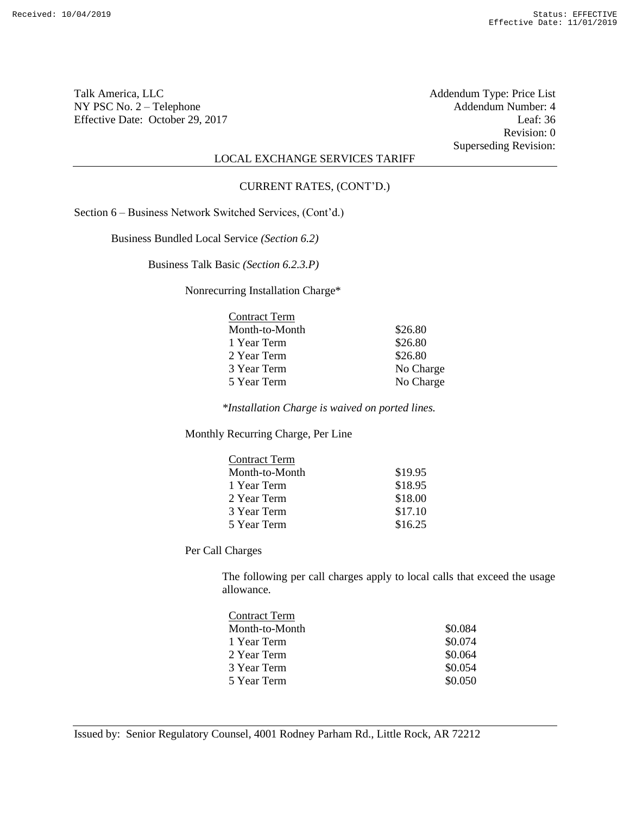Talk America, LLC Addendum Type: Price List NY PSC No. 2 – Telephone Addendum Number: 4<br>Effective Date: October 29, 2017 Leaf: 36 Effective Date: October 29, 2017

Revision: 0 Superseding Revision:

# LOCAL EXCHANGE SERVICES TARIFF

#### CURRENT RATES, (CONT'D.)

Section 6 – Business Network Switched Services, (Cont'd.)

Business Bundled Local Service *(Section 6.2)*

Business Talk Basic *(Section 6.2.3.P)*

Nonrecurring Installation Charge\*

| <b>Contract Term</b> |           |
|----------------------|-----------|
| Month-to-Month       | \$26.80   |
| 1 Year Term          | \$26.80   |
| 2 Year Term          | \$26.80   |
| 3 Year Term          | No Charge |
| 5 Year Term          | No Charge |

*\*Installation Charge is waived on ported lines.*

Monthly Recurring Charge, Per Line

| <b>Contract Term</b> |         |
|----------------------|---------|
| Month-to-Month       | \$19.95 |
| 1 Year Term          | \$18.95 |
| 2 Year Term          | \$18.00 |
| 3 Year Term          | \$17.10 |
| 5 Year Term          | \$16.25 |

Per Call Charges

The following per call charges apply to local calls that exceed the usage allowance.

| <b>Contract Term</b> |         |
|----------------------|---------|
| Month-to-Month       | \$0.084 |
| 1 Year Term          | \$0.074 |
| 2 Year Term          | \$0.064 |
| 3 Year Term          | \$0.054 |
| 5 Year Term          | \$0.050 |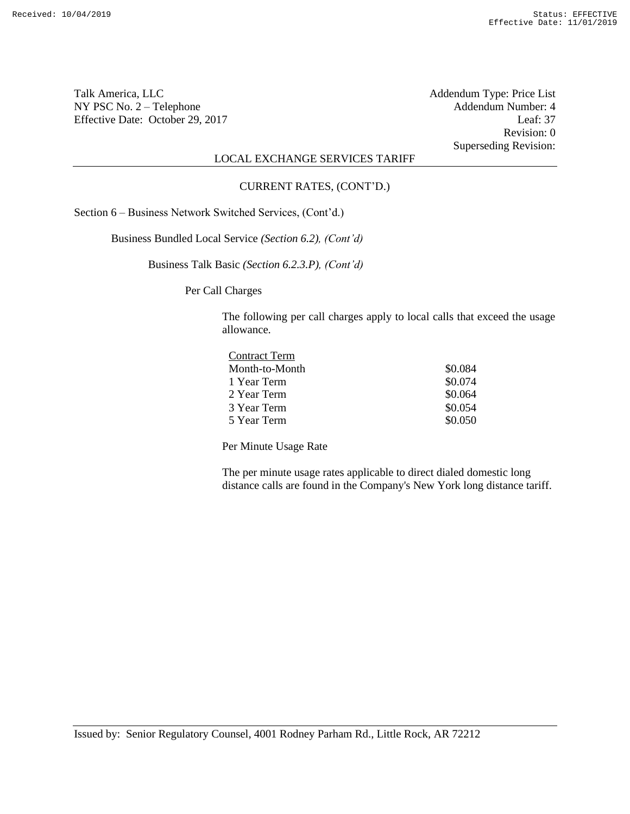Talk America, LLC<br>
NY PSC No. 2 – Telephone<br>
Addendum Number: 4 NY PSC No. 2 – Telephone Addendum Number: 4<br>Effective Date: October 29, 2017 Leaf: 37 Effective Date: October 29, 2017

Revision: 0 Superseding Revision:

# LOCAL EXCHANGE SERVICES TARIFF

### CURRENT RATES, (CONT'D.)

Section 6 – Business Network Switched Services, (Cont'd.)

Business Bundled Local Service *(Section 6.2), (Cont'd)*

Business Talk Basic *(Section 6.2.3.P), (Cont'd)*

Per Call Charges

The following per call charges apply to local calls that exceed the usage allowance.

| <b>Contract Term</b> |         |
|----------------------|---------|
| Month-to-Month       | \$0.084 |
| 1 Year Term          | \$0.074 |
| 2 Year Term          | \$0.064 |
| 3 Year Term          | \$0.054 |
| 5 Year Term          | \$0.050 |

Per Minute Usage Rate

The per minute usage rates applicable to direct dialed domestic long distance calls are found in the Company's New York long distance tariff.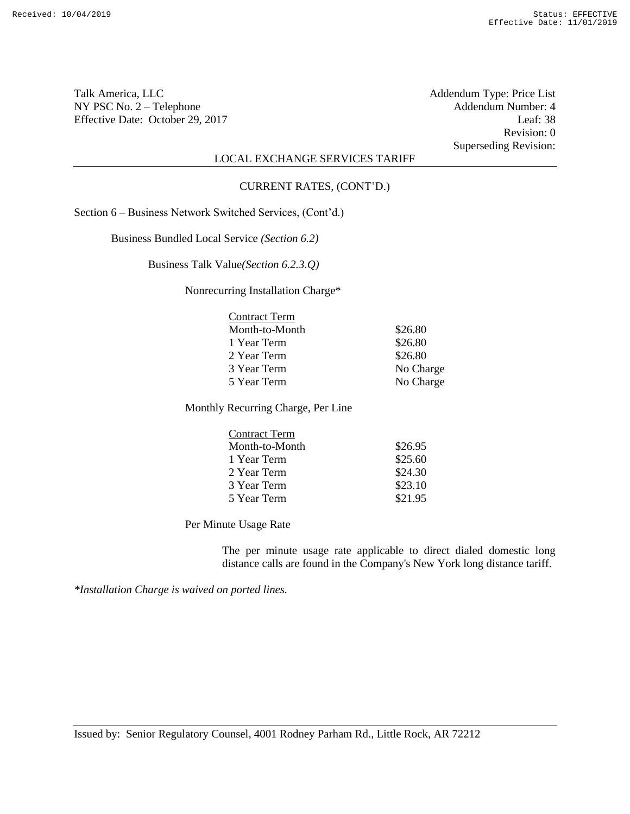Talk America, LLC<br>
NY PSC No. 2 – Telephone<br>
Addendum Number: 4 NY PSC No. 2 – Telephone Addendum Number: 4<br>Effective Date: October 29, 2017 Leaf: 38 Effective Date: October 29, 2017

Revision: 0 Superseding Revision:

# LOCAL EXCHANGE SERVICES TARIFF

#### CURRENT RATES, (CONT'D.)

Section 6 – Business Network Switched Services, (Cont'd.)

Business Bundled Local Service *(Section 6.2)*

Business Talk Value*(Section 6.2.3.Q)*

Nonrecurring Installation Charge\*

| <b>Contract Term</b> |           |
|----------------------|-----------|
| Month-to-Month       | \$26.80   |
| 1 Year Term          | \$26.80   |
| 2 Year Term          | \$26.80   |
| 3 Year Term          | No Charge |
| 5 Year Term          | No Charge |

Monthly Recurring Charge, Per Line

| <b>Contract Term</b> |         |
|----------------------|---------|
| Month-to-Month       | \$26.95 |
| 1 Year Term          | \$25.60 |
| 2 Year Term          | \$24.30 |
| 3 Year Term          | \$23.10 |
| 5 Year Term          | \$21.95 |

Per Minute Usage Rate

The per minute usage rate applicable to direct dialed domestic long distance calls are found in the Company's New York long distance tariff.

*\*Installation Charge is waived on ported lines.*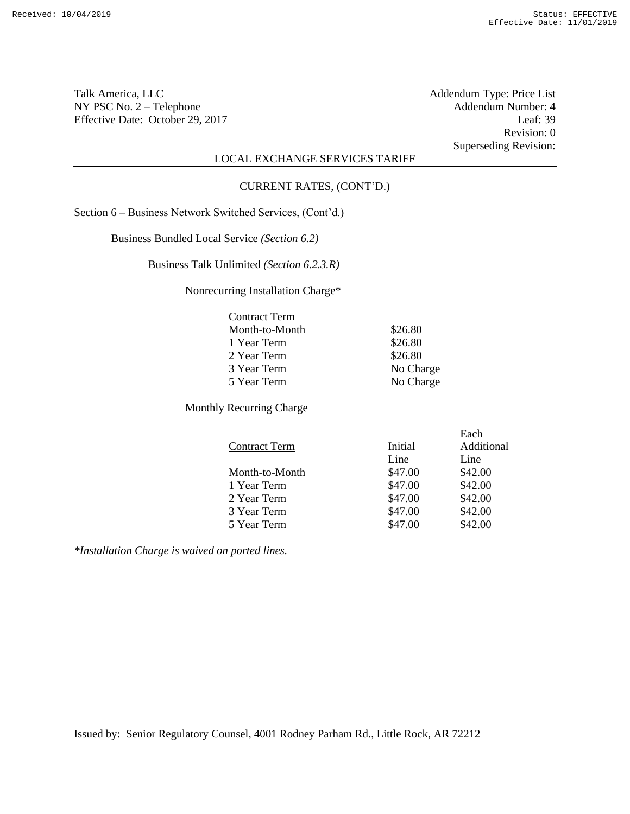Talk America, LLC Addendum Type: Price List NY PSC No. 2 – Telephone Addendum Number: 4<br>Effective Date: October 29, 2017 Leaf: 39 Effective Date: October 29, 2017

Revision: 0 Superseding Revision:

# LOCAL EXCHANGE SERVICES TARIFF

#### CURRENT RATES, (CONT'D.)

Section 6 – Business Network Switched Services, (Cont'd.)

Business Bundled Local Service *(Section 6.2)*

Business Talk Unlimited *(Section 6.2.3.R)*

Nonrecurring Installation Charge\*

| \$26.80   |
|-----------|
| \$26.80   |
| \$26.80   |
| No Charge |
| No Charge |
|           |

Monthly Recurring Charge

|                      |         | Each       |
|----------------------|---------|------------|
| <b>Contract Term</b> | Initial | Additional |
|                      | Line    | Line       |
| Month-to-Month       | \$47.00 | \$42.00    |
| 1 Year Term          | \$47.00 | \$42.00    |
| 2 Year Term          | \$47.00 | \$42.00    |
| 3 Year Term          | \$47.00 | \$42.00    |
| 5 Year Term          | \$47.00 | \$42.00    |

*\*Installation Charge is waived on ported lines.*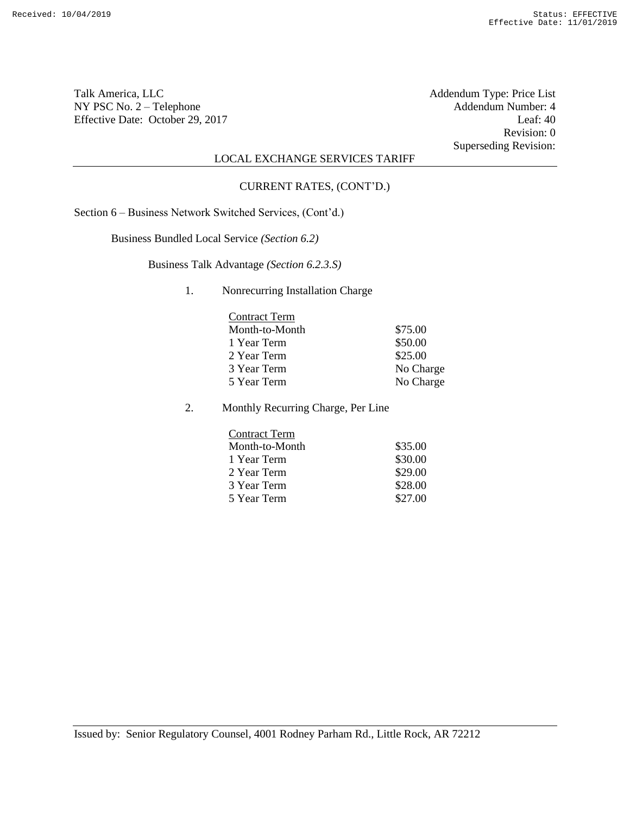Talk America, LLC Addendum Type: Price List NY PSC No. 2 – Telephone Addendum Number: 4<br>Effective Date: October 29, 2017 Leaf: 40 Effective Date: October 29, 2017

Revision: 0 Superseding Revision:

## LOCAL EXCHANGE SERVICES TARIFF

#### CURRENT RATES, (CONT'D.)

Section 6 – Business Network Switched Services, (Cont'd.)

Business Bundled Local Service *(Section 6.2)*

Business Talk Advantage *(Section 6.2.3.S)*

### 1. Nonrecurring Installation Charge

| <b>Contract Term</b> |           |
|----------------------|-----------|
| Month-to-Month       | \$75.00   |
| 1 Year Term          | \$50.00   |
| 2 Year Term          | \$25.00   |
| 3 Year Term          | No Charge |
| 5 Year Term          | No Charge |

2. Monthly Recurring Charge, Per Line

| <b>Contract Term</b> |         |
|----------------------|---------|
| Month-to-Month       | \$35.00 |
| 1 Year Term          | \$30.00 |
| 2 Year Term          | \$29.00 |
| 3 Year Term          | \$28.00 |
| 5 Year Term          | \$27.00 |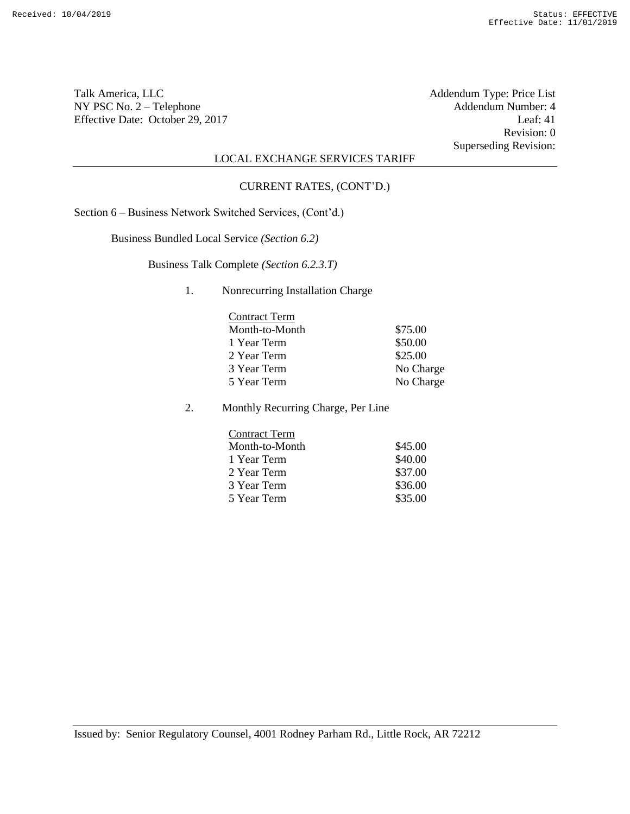Talk America, LLC Addendum Type: Price List NY PSC No. 2 – Telephone Addendum Number: 4<br>Effective Date: October 29, 2017 Leaf: 41 Effective Date: October 29, 2017

Revision: 0 Superseding Revision:

## LOCAL EXCHANGE SERVICES TARIFF

#### CURRENT RATES, (CONT'D.)

Section 6 – Business Network Switched Services, (Cont'd.)

Business Bundled Local Service *(Section 6.2)*

Business Talk Complete *(Section 6.2.3.T)*

### 1. Nonrecurring Installation Charge

| <b>Contract Term</b> |           |
|----------------------|-----------|
| Month-to-Month       | \$75.00   |
| 1 Year Term          | \$50.00   |
| 2 Year Term          | \$25.00   |
| 3 Year Term          | No Charge |
| 5 Year Term          | No Charge |

2. Monthly Recurring Charge, Per Line

| <b>Contract Term</b> |         |
|----------------------|---------|
| Month-to-Month       | \$45.00 |
| 1 Year Term          | \$40.00 |
| 2 Year Term          | \$37.00 |
| 3 Year Term          | \$36.00 |
| 5 Year Term          | \$35.00 |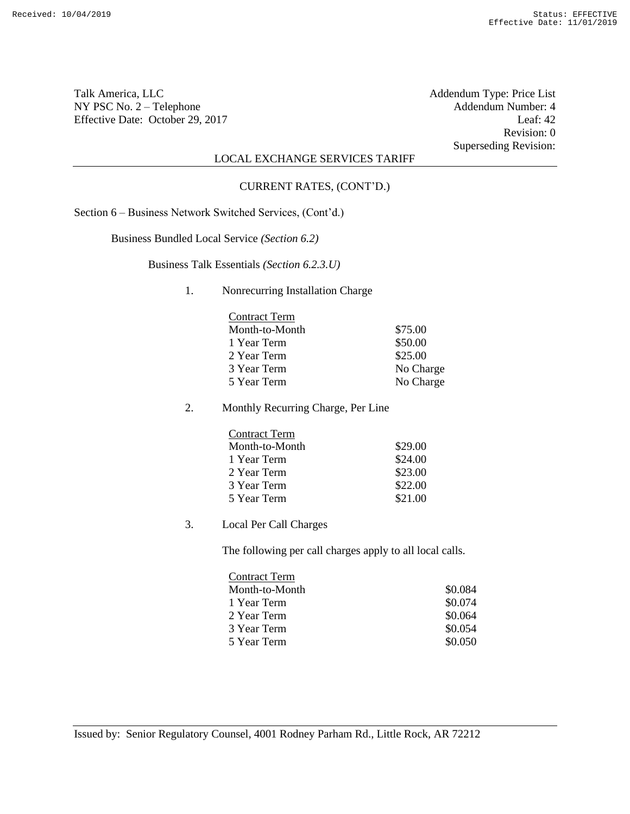Talk America, LLC Addendum Type: Price List NY PSC No. 2 – Telephone Addendum Number: 4<br>Effective Date: October 29, 2017 Leaf: 42 Effective Date: October 29, 2017

Revision: 0 Superseding Revision:

# LOCAL EXCHANGE SERVICES TARIFF

#### CURRENT RATES, (CONT'D.)

Section 6 – Business Network Switched Services, (Cont'd.)

Business Bundled Local Service *(Section 6.2)*

Business Talk Essentials *(Section 6.2.3.U)*

### 1. Nonrecurring Installation Charge

| <b>Contract Term</b> |           |
|----------------------|-----------|
| Month-to-Month       | \$75.00   |
| 1 Year Term          | \$50.00   |
| 2 Year Term          | \$25.00   |
| 3 Year Term          | No Charge |
| 5 Year Term          | No Charge |

2. Monthly Recurring Charge, Per Line

| <b>Contract Term</b> |         |
|----------------------|---------|
| Month-to-Month       | \$29.00 |
| 1 Year Term          | \$24.00 |
| 2 Year Term          | \$23.00 |
| 3 Year Term          | \$22.00 |
| 5 Year Term          | \$21.00 |

3. Local Per Call Charges

The following per call charges apply to all local calls.

| <b>Contract Term</b> |         |
|----------------------|---------|
| Month-to-Month       | \$0.084 |
| 1 Year Term          | \$0.074 |
| 2 Year Term          | \$0.064 |
| 3 Year Term          | \$0.054 |
| 5 Year Term          | \$0.050 |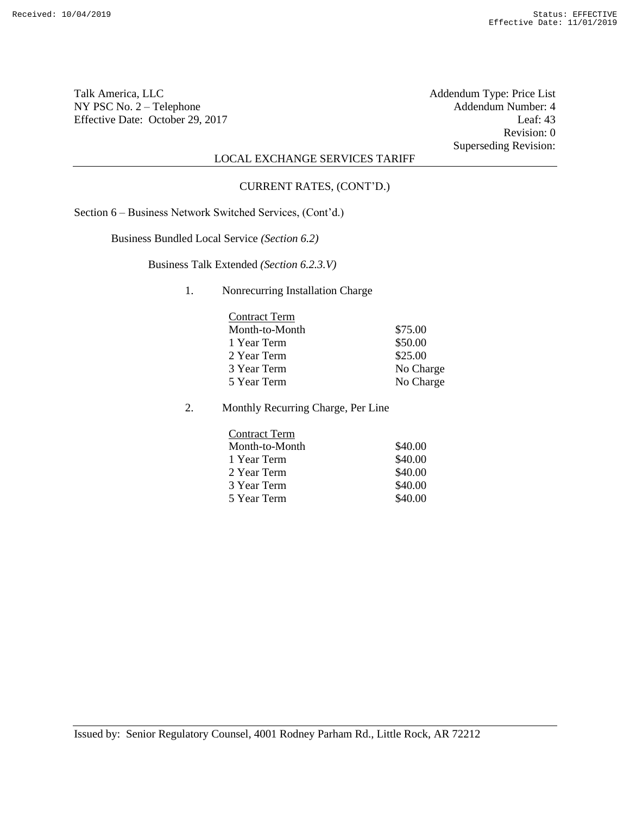Talk America, LLC Addendum Type: Price List NY PSC No. 2 – Telephone Addendum Number: 4<br>Effective Date: October 29, 2017 Leaf: 43 Effective Date: October 29, 2017

Revision: 0 Superseding Revision:

## LOCAL EXCHANGE SERVICES TARIFF

#### CURRENT RATES, (CONT'D.)

Section 6 – Business Network Switched Services, (Cont'd.)

Business Bundled Local Service *(Section 6.2)*

Business Talk Extended *(Section 6.2.3.V)*

### 1. Nonrecurring Installation Charge

| <b>Contract Term</b> |           |
|----------------------|-----------|
| Month-to-Month       | \$75.00   |
| 1 Year Term          | \$50.00   |
| 2 Year Term          | \$25.00   |
| 3 Year Term          | No Charge |
| 5 Year Term          | No Charge |

2. Monthly Recurring Charge, Per Line

| <b>Contract Term</b> |         |
|----------------------|---------|
| Month-to-Month       | \$40.00 |
| 1 Year Term          | \$40.00 |
| 2 Year Term          | \$40.00 |
| 3 Year Term          | \$40.00 |
| 5 Year Term          | \$40.00 |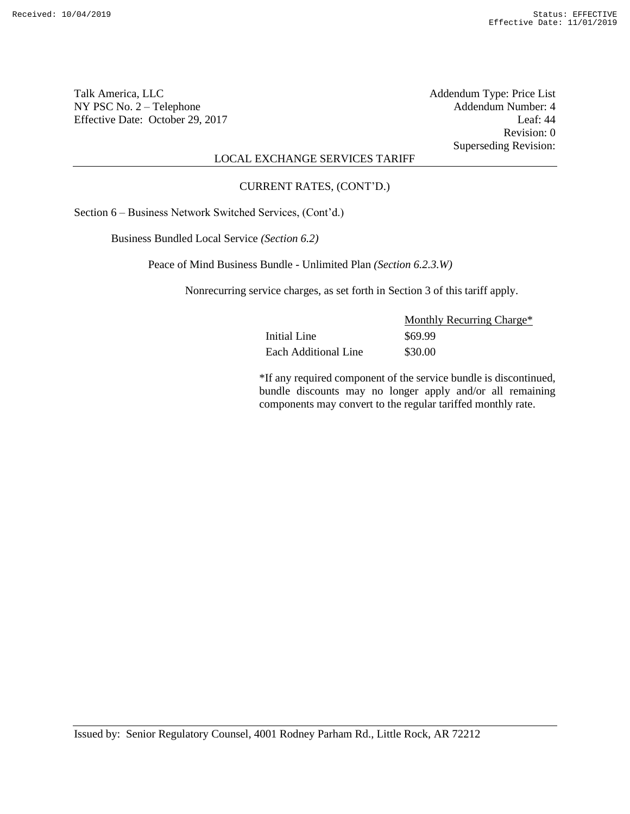Talk America, LLC Addendum Type: Price List NY PSC No. 2 – Telephone Addendum Number: 4<br>Effective Date: October 29, 2017 Leaf: 44 Effective Date: October 29, 2017

Revision: 0 Superseding Revision:

# LOCAL EXCHANGE SERVICES TARIFF

### CURRENT RATES, (CONT'D.)

Section 6 – Business Network Switched Services, (Cont'd.)

Business Bundled Local Service *(Section 6.2)*

Peace of Mind Business Bundle - Unlimited Plan *(Section 6.2.3.W)*

Nonrecurring service charges, as set forth in Section 3 of this tariff apply.

|                      | Monthly Recurring Charge* |
|----------------------|---------------------------|
| Initial Line         | \$69.99                   |
| Each Additional Line | \$30.00                   |

\*If any required component of the service bundle is discontinued, bundle discounts may no longer apply and/or all remaining components may convert to the regular tariffed monthly rate.